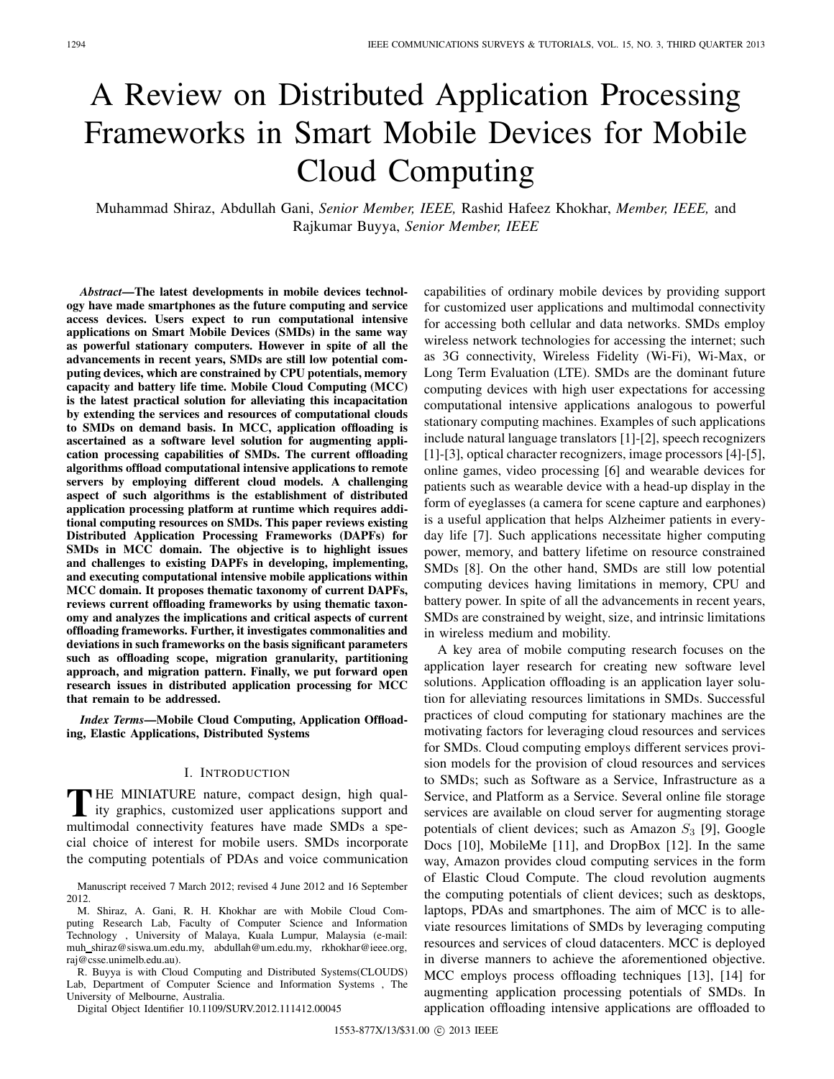# A Review on Distributed Application Processing Frameworks in Smart Mobile Devices for Mobile Cloud Computing

Muhammad Shiraz, Abdullah Gani, *Senior Member, IEEE,* Rashid Hafeez Khokhar, *Member, IEEE,* and Rajkumar Buyya, *Senior Member, IEEE*

*Abstract*—The latest developments in mobile devices technology have made smartphones as the future computing and service access devices. Users expect to run computational intensive applications on Smart Mobile Devices (SMDs) in the same way as powerful stationary computers. However in spite of all the advancements in recent years, SMDs are still low potential computing devices, which are constrained by CPU potentials, memory capacity and battery life time. Mobile Cloud Computing (MCC) is the latest practical solution for alleviating this incapacitation by extending the services and resources of computational clouds to SMDs on demand basis. In MCC, application offloading is ascertained as a software level solution for augmenting application processing capabilities of SMDs. The current offloading algorithms offload computational intensive applications to remote servers by employing different cloud models. A challenging aspect of such algorithms is the establishment of distributed application processing platform at runtime which requires additional computing resources on SMDs. This paper reviews existing Distributed Application Processing Frameworks (DAPFs) for SMDs in MCC domain. The objective is to highlight issues and challenges to existing DAPFs in developing, implementing, and executing computational intensive mobile applications within MCC domain. It proposes thematic taxonomy of current DAPFs, reviews current offloading frameworks by using thematic taxonomy and analyzes the implications and critical aspects of current offloading frameworks. Further, it investigates commonalities and deviations in such frameworks on the basis significant parameters such as offloading scope, migration granularity, partitioning approach, and migration pattern. Finally, we put forward open research issues in distributed application processing for MCC that remain to be addressed.

*Index Terms*—Mobile Cloud Computing, Application Offloading, Elastic Applications, Distributed Systems

## I. INTRODUCTION

THE MINIATURE nature, compact design, high quality graphics, customized user applications support and multimodal connectivity features have made SMDs a special choice of interest for mobile users. SMDs incorporate the computing potentials of PDAs and voice communication

R. Buyya is with Cloud Computing and Distributed Systems(CLOUDS) Lab, Department of Computer Science and Information Systems , The University of Melbourne, Australia.

Digital Object Identifier 10.1109/SURV.2012.111412.00045

capabilities of ordinary mobile devices by providing support for customized user applications and multimodal connectivity for accessing both cellular and data networks. SMDs employ wireless network technologies for accessing the internet; such as 3G connectivity, Wireless Fidelity (Wi-Fi), Wi-Max, or Long Term Evaluation (LTE). SMDs are the dominant future computing devices with high user expectations for accessing computational intensive applications analogous to powerful stationary computing machines. Examples of such applications include natural language translators [1]-[2], speech recognizers [1]-[3], optical character recognizers, image processors [4]-[5], online games, video processing [6] and wearable devices for patients such as wearable device with a head-up display in the form of eyeglasses (a camera for scene capture and earphones) is a useful application that helps Alzheimer patients in everyday life [7]. Such applications necessitate higher computing power, memory, and battery lifetime on resource constrained SMDs [8]. On the other hand, SMDs are still low potential computing devices having limitations in memory, CPU and battery power. In spite of all the advancements in recent years, SMDs are constrained by weight, size, and intrinsic limitations in wireless medium and mobility.

A key area of mobile computing research focuses on the application layer research for creating new software level solutions. Application offloading is an application layer solution for alleviating resources limitations in SMDs. Successful practices of cloud computing for stationary machines are the motivating factors for leveraging cloud resources and services for SMDs. Cloud computing employs different services provision models for the provision of cloud resources and services to SMDs; such as Software as a Service, Infrastructure as a Service, and Platform as a Service. Several online file storage services are available on cloud server for augmenting storage potentials of client devices; such as Amazon  $S_3$  [9], Google Docs [10], MobileMe [11], and DropBox [12]. In the same way, Amazon provides cloud computing services in the form of Elastic Cloud Compute. The cloud revolution augments the computing potentials of client devices; such as desktops, laptops, PDAs and smartphones. The aim of MCC is to alleviate resources limitations of SMDs by leveraging computing resources and services of cloud datacenters. MCC is deployed in diverse manners to achieve the aforementioned objective. MCC employs process offloading techniques [13], [14] for augmenting application processing potentials of SMDs. In application offloading intensive applications are offloaded to

Manuscript received 7 March 2012; revised 4 June 2012 and 16 September 2012.

M. Shiraz, A. Gani, R. H. Khokhar are with Mobile Cloud Computing Research Lab, Faculty of Computer Science and Information Technology , University of Malaya, Kuala Lumpur, Malaysia (e-mail: muh shiraz@siswa.um.edu.my, abdullah@um.edu.my, rkhokhar@ieee.org, raj@csse.unimelb.edu.au).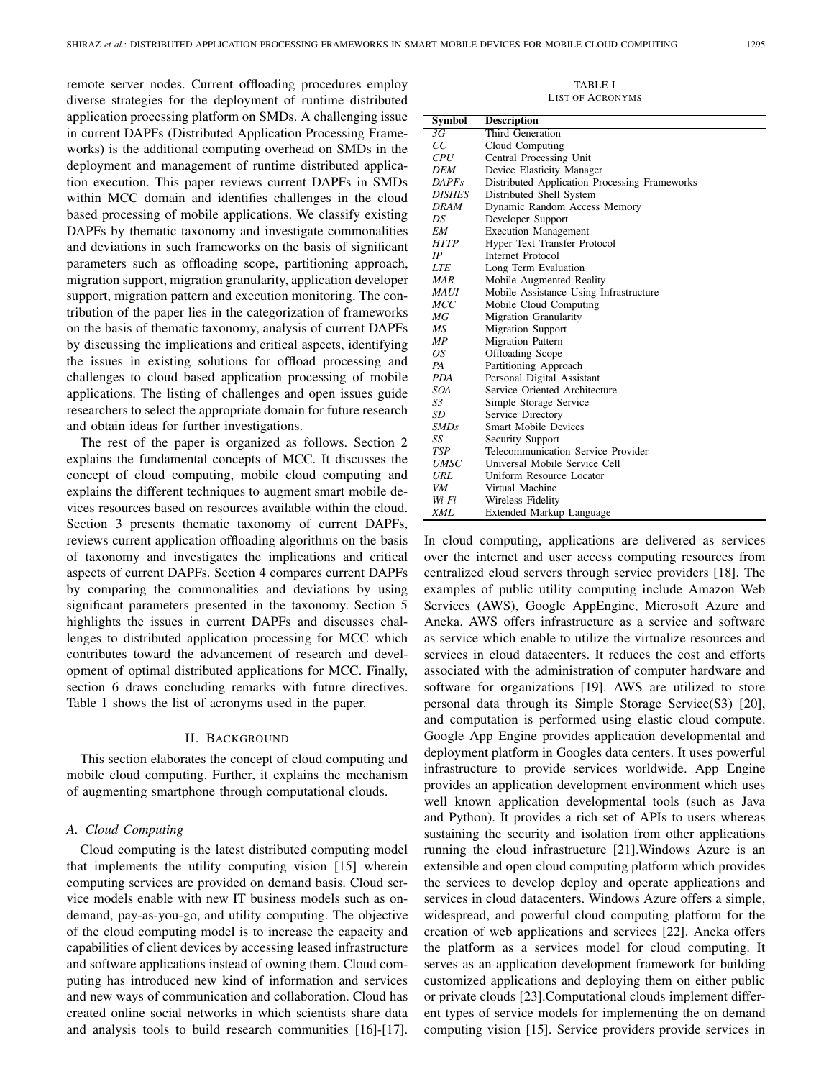remote server nodes. Current offloading procedures employ diverse strategies for the deployment of runtime distributed application processing platform on SMDs. A challenging issue in current DAPFs (Distributed Application Processing Frameworks) is the additional computing overhead on SMDs in the deployment and management of runtime distributed application execution. This paper reviews current DAPFs in SMDs within MCC domain and identifies challenges in the cloud based processing of mobile applications. We classify existing DAPFs by thematic taxonomy and investigate commonalities and deviations in such frameworks on the basis of significant parameters such as offloading scope, partitioning approach, migration support, migration granularity, application developer support, migration pattern and execution monitoring. The contribution of the paper lies in the categorization of frameworks on the basis of thematic taxonomy, analysis of current DAPFs by discussing the implications and critical aspects, identifying the issues in existing solutions for offload processing and challenges to cloud based application processing of mobile applications. The listing of challenges and open issues guide researchers to select the appropriate domain for future research and obtain ideas for further investigations.

The rest of the paper is organized as follows. Section 2 explains the fundamental concepts of MCC. It discusses the concept of cloud computing, mobile cloud computing and explains the different techniques to augment smart mobile devices resources based on resources available within the cloud. Section 3 presents thematic taxonomy of current DAPFs, reviews current application offloading algorithms on the basis of taxonomy and investigates the implications and critical aspects of current DAPFs. Section 4 compares current DAPFs by comparing the commonalities and deviations by using significant parameters presented in the taxonomy. Section 5 highlights the issues in current DAPFs and discusses challenges to distributed application processing for MCC which contributes toward the advancement of research and development of optimal distributed applications for MCC. Finally, section 6 draws concluding remarks with future directives. Table 1 shows the list of acronyms used in the paper.

## II. BACKGROUND

This section elaborates the concept of cloud computing and mobile cloud computing. Further, it explains the mechanism of augmenting smartphone through computational clouds.

## *A. Cloud Computing*

Cloud computing is the latest distributed computing model that implements the utility computing vision [15] wherein computing services are provided on demand basis. Cloud service models enable with new IT business models such as ondemand, pay-as-you-go, and utility computing. The objective of the cloud computing model is to increase the capacity and capabilities of client devices by accessing leased infrastructure and software applications instead of owning them. Cloud computing has introduced new kind of information and services and new ways of communication and collaboration. Cloud has created online social networks in which scientists share data and analysis tools to build research communities [16]-[17].

TABLE I LIST OF ACRONYMS

| <b>Symbol</b> | <b>Description</b>                            |
|---------------|-----------------------------------------------|
| 3G            | Third Generation                              |
| СC            | Cloud Computing                               |
| CPU           | Central Processing Unit                       |
| DEM           | Device Elasticity Manager                     |
| <i>DAPFs</i>  | Distributed Application Processing Frameworks |
| <i>DISHES</i> | Distributed Shell System                      |
| DRAM          | Dynamic Random Access Memory                  |
| DS            | Developer Support                             |
| EМ            | <b>Execution Management</b>                   |
| HTTP          | Hyper Text Transfer Protocol                  |
| IP            | Internet Protocol                             |
| LTE           | Long Term Evaluation                          |
| MAR           | Mobile Augmented Reality                      |
| <i>MAUI</i>   | Mobile Assistance Using Infrastructure        |
| MCC           | Mobile Cloud Computing                        |
| МG            | <b>Migration Granularity</b>                  |
| МS            | <b>Migration Support</b>                      |
| МP            | <b>Migration Pattern</b>                      |
| ΟS            | Offloading Scope                              |
| PA            | Partitioning Approach                         |
| PDA.          | Personal Digital Assistant                    |
| SOA           | Service Oriented Architecture                 |
| S3            | Simple Storage Service                        |
| SD            | Service Directory                             |
| <i>SMDs</i>   | <b>Smart Mobile Devices</b>                   |
| SS            | Security Support                              |
| <b>TSP</b>    | Telecommunication Service Provider            |
| <i>UMSC</i>   | Universal Mobile Service Cell                 |
| URL           | Uniform Resource Locator                      |
| VM            | Virtual Machine                               |
| Wi-Fi         | Wireless Fidelity                             |
| XML           | Extended Markup Language                      |

In cloud computing, applications are delivered as services over the internet and user access computing resources from centralized cloud servers through service providers [18]. The examples of public utility computing include Amazon Web Services (AWS), Google AppEngine, Microsoft Azure and Aneka. AWS offers infrastructure as a service and software as service which enable to utilize the virtualize resources and services in cloud datacenters. It reduces the cost and efforts associated with the administration of computer hardware and software for organizations [19]. AWS are utilized to store personal data through its Simple Storage Service(S3) [20], and computation is performed using elastic cloud compute. Google App Engine provides application developmental and deployment platform in Googles data centers. It uses powerful infrastructure to provide services worldwide. App Engine provides an application development environment which uses well known application developmental tools (such as Java and Python). It provides a rich set of APIs to users whereas sustaining the security and isolation from other applications running the cloud infrastructure [21].Windows Azure is an extensible and open cloud computing platform which provides the services to develop deploy and operate applications and services in cloud datacenters. Windows Azure offers a simple, widespread, and powerful cloud computing platform for the creation of web applications and services [22]. Aneka offers the platform as a services model for cloud computing. It serves as an application development framework for building customized applications and deploying them on either public or private clouds [23].Computational clouds implement different types of service models for implementing the on demand computing vision [15]. Service providers provide services in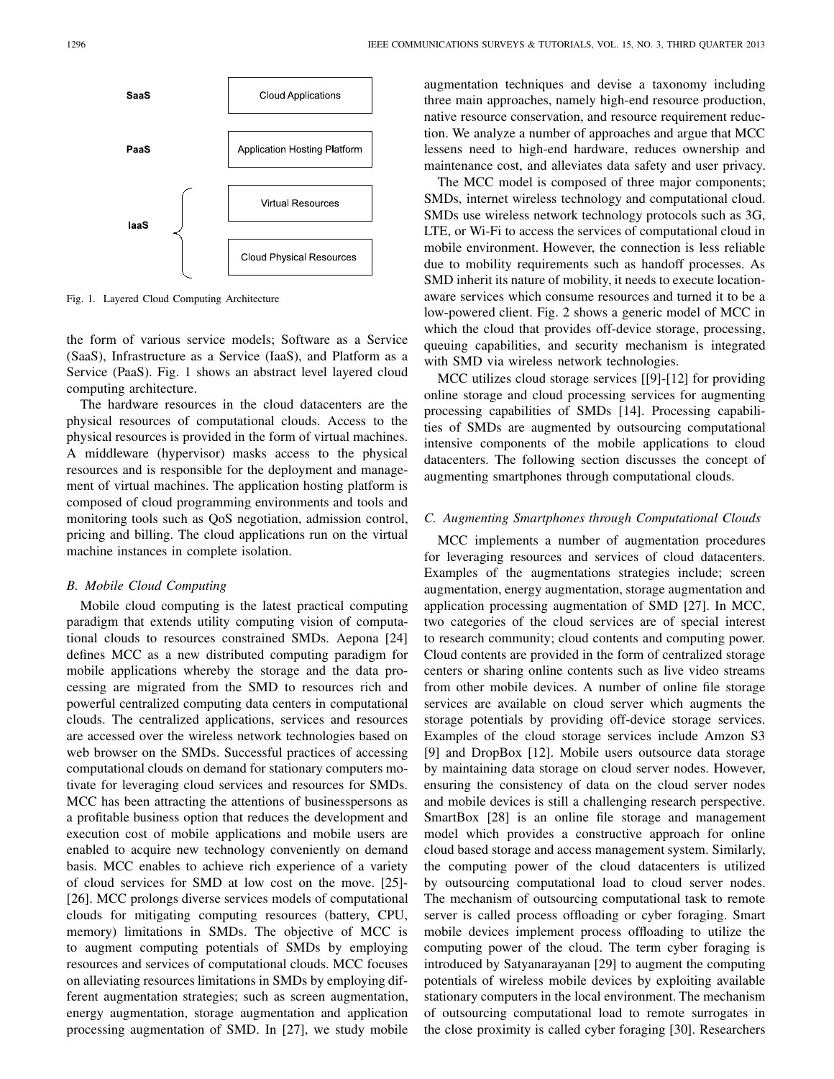

Fig. 1. Layered Cloud Computing Architecture

the form of various service models; Software as a Service (SaaS), Infrastructure as a Service (IaaS), and Platform as a Service (PaaS). Fig. 1 shows an abstract level layered cloud computing architecture.

The hardware resources in the cloud datacenters are the physical resources of computational clouds. Access to the physical resources is provided in the form of virtual machines. A middleware (hypervisor) masks access to the physical resources and is responsible for the deployment and management of virtual machines. The application hosting platform is composed of cloud programming environments and tools and monitoring tools such as QoS negotiation, admission control, pricing and billing. The cloud applications run on the virtual machine instances in complete isolation.

#### *B. Mobile Cloud Computing*

Mobile cloud computing is the latest practical computing paradigm that extends utility computing vision of computational clouds to resources constrained SMDs. Aepona [24] defines MCC as a new distributed computing paradigm for mobile applications whereby the storage and the data processing are migrated from the SMD to resources rich and powerful centralized computing data centers in computational clouds. The centralized applications, services and resources are accessed over the wireless network technologies based on web browser on the SMDs. Successful practices of accessing computational clouds on demand for stationary computers motivate for leveraging cloud services and resources for SMDs. MCC has been attracting the attentions of businesspersons as a profitable business option that reduces the development and execution cost of mobile applications and mobile users are enabled to acquire new technology conveniently on demand basis. MCC enables to achieve rich experience of a variety of cloud services for SMD at low cost on the move. [25]- [26]. MCC prolongs diverse services models of computational clouds for mitigating computing resources (battery, CPU, memory) limitations in SMDs. The objective of MCC is to augment computing potentials of SMDs by employing resources and services of computational clouds. MCC focuses on alleviating resources limitations in SMDs by employing different augmentation strategies; such as screen augmentation, energy augmentation, storage augmentation and application processing augmentation of SMD. In [27], we study mobile augmentation techniques and devise a taxonomy including three main approaches, namely high-end resource production, native resource conservation, and resource requirement reduction. We analyze a number of approaches and argue that MCC lessens need to high-end hardware, reduces ownership and maintenance cost, and alleviates data safety and user privacy.

The MCC model is composed of three major components; SMDs, internet wireless technology and computational cloud. SMDs use wireless network technology protocols such as 3G, LTE, or Wi-Fi to access the services of computational cloud in mobile environment. However, the connection is less reliable due to mobility requirements such as handoff processes. As SMD inherit its nature of mobility, it needs to execute locationaware services which consume resources and turned it to be a low-powered client. Fig. 2 shows a generic model of MCC in which the cloud that provides off-device storage, processing, queuing capabilities, and security mechanism is integrated with SMD via wireless network technologies.

MCC utilizes cloud storage services [[9]-[12] for providing online storage and cloud processing services for augmenting processing capabilities of SMDs [14]. Processing capabilities of SMDs are augmented by outsourcing computational intensive components of the mobile applications to cloud datacenters. The following section discusses the concept of augmenting smartphones through computational clouds.

## *C. Augmenting Smartphones through Computational Clouds*

MCC implements a number of augmentation procedures for leveraging resources and services of cloud datacenters. Examples of the augmentations strategies include; screen augmentation, energy augmentation, storage augmentation and application processing augmentation of SMD [27]. In MCC, two categories of the cloud services are of special interest to research community; cloud contents and computing power. Cloud contents are provided in the form of centralized storage centers or sharing online contents such as live video streams from other mobile devices. A number of online file storage services are available on cloud server which augments the storage potentials by providing off-device storage services. Examples of the cloud storage services include Amzon S3 [9] and DropBox [12]. Mobile users outsource data storage by maintaining data storage on cloud server nodes. However, ensuring the consistency of data on the cloud server nodes and mobile devices is still a challenging research perspective. SmartBox [28] is an online file storage and management model which provides a constructive approach for online cloud based storage and access management system. Similarly, the computing power of the cloud datacenters is utilized by outsourcing computational load to cloud server nodes. The mechanism of outsourcing computational task to remote server is called process offloading or cyber foraging. Smart mobile devices implement process offloading to utilize the computing power of the cloud. The term cyber foraging is introduced by Satyanarayanan [29] to augment the computing potentials of wireless mobile devices by exploiting available stationary computers in the local environment. The mechanism of outsourcing computational load to remote surrogates in the close proximity is called cyber foraging [30]. Researchers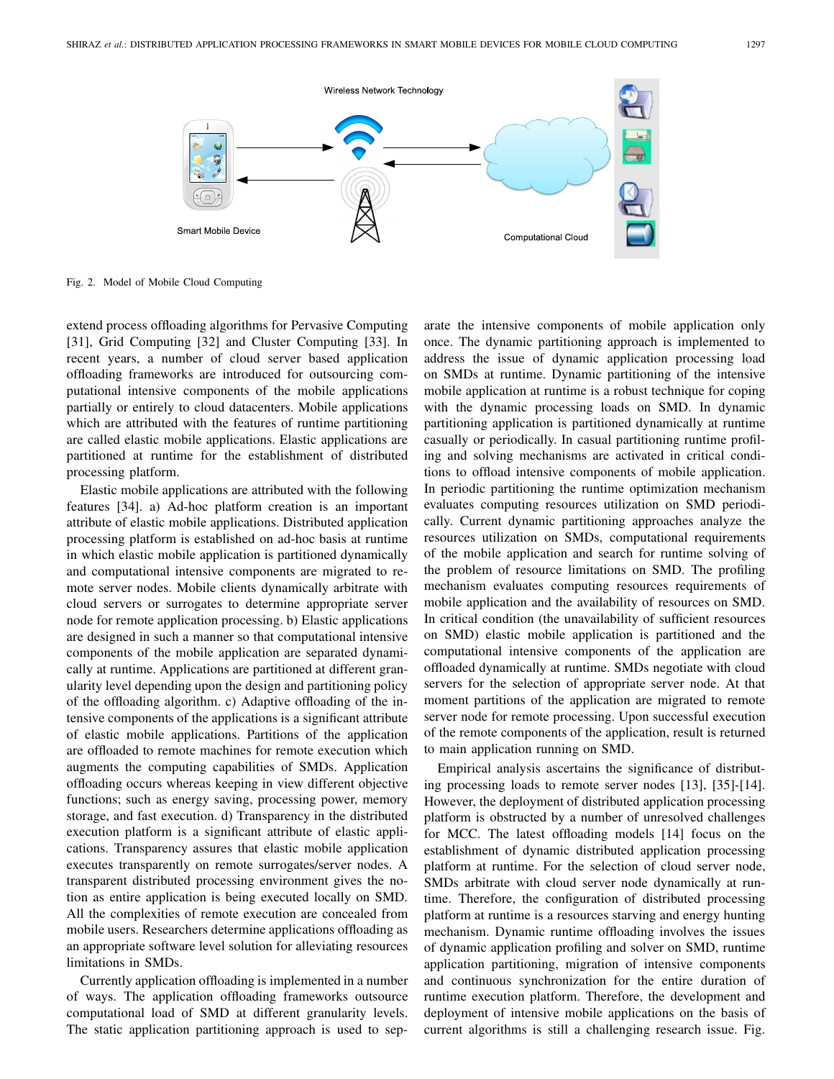

Fig. 2. Model of Mobile Cloud Computing

extend process offloading algorithms for Pervasive Computing [31], Grid Computing [32] and Cluster Computing [33]. In recent years, a number of cloud server based application offloading frameworks are introduced for outsourcing computational intensive components of the mobile applications partially or entirely to cloud datacenters. Mobile applications which are attributed with the features of runtime partitioning are called elastic mobile applications. Elastic applications are partitioned at runtime for the establishment of distributed processing platform.

Elastic mobile applications are attributed with the following features [34]. a) Ad-hoc platform creation is an important attribute of elastic mobile applications. Distributed application processing platform is established on ad-hoc basis at runtime in which elastic mobile application is partitioned dynamically and computational intensive components are migrated to remote server nodes. Mobile clients dynamically arbitrate with cloud servers or surrogates to determine appropriate server node for remote application processing. b) Elastic applications are designed in such a manner so that computational intensive components of the mobile application are separated dynamically at runtime. Applications are partitioned at different granularity level depending upon the design and partitioning policy of the offloading algorithm. c) Adaptive offloading of the intensive components of the applications is a significant attribute of elastic mobile applications. Partitions of the application are offloaded to remote machines for remote execution which augments the computing capabilities of SMDs. Application offloading occurs whereas keeping in view different objective functions; such as energy saving, processing power, memory storage, and fast execution. d) Transparency in the distributed execution platform is a significant attribute of elastic applications. Transparency assures that elastic mobile application executes transparently on remote surrogates/server nodes. A transparent distributed processing environment gives the notion as entire application is being executed locally on SMD. All the complexities of remote execution are concealed from mobile users. Researchers determine applications offloading as an appropriate software level solution for alleviating resources limitations in SMDs.

Currently application offloading is implemented in a number of ways. The application offloading frameworks outsource computational load of SMD at different granularity levels. The static application partitioning approach is used to separate the intensive components of mobile application only once. The dynamic partitioning approach is implemented to address the issue of dynamic application processing load on SMDs at runtime. Dynamic partitioning of the intensive mobile application at runtime is a robust technique for coping with the dynamic processing loads on SMD. In dynamic partitioning application is partitioned dynamically at runtime casually or periodically. In casual partitioning runtime profiling and solving mechanisms are activated in critical conditions to offload intensive components of mobile application. In periodic partitioning the runtime optimization mechanism evaluates computing resources utilization on SMD periodically. Current dynamic partitioning approaches analyze the resources utilization on SMDs, computational requirements of the mobile application and search for runtime solving of the problem of resource limitations on SMD. The profiling mechanism evaluates computing resources requirements of mobile application and the availability of resources on SMD. In critical condition (the unavailability of sufficient resources on SMD) elastic mobile application is partitioned and the computational intensive components of the application are offloaded dynamically at runtime. SMDs negotiate with cloud servers for the selection of appropriate server node. At that moment partitions of the application are migrated to remote server node for remote processing. Upon successful execution of the remote components of the application, result is returned to main application running on SMD.

Empirical analysis ascertains the significance of distributing processing loads to remote server nodes [13], [35]-[14]. However, the deployment of distributed application processing platform is obstructed by a number of unresolved challenges for MCC. The latest offloading models [14] focus on the establishment of dynamic distributed application processing platform at runtime. For the selection of cloud server node, SMDs arbitrate with cloud server node dynamically at runtime. Therefore, the configuration of distributed processing platform at runtime is a resources starving and energy hunting mechanism. Dynamic runtime offloading involves the issues of dynamic application profiling and solver on SMD, runtime application partitioning, migration of intensive components and continuous synchronization for the entire duration of runtime execution platform. Therefore, the development and deployment of intensive mobile applications on the basis of current algorithms is still a challenging research issue. Fig.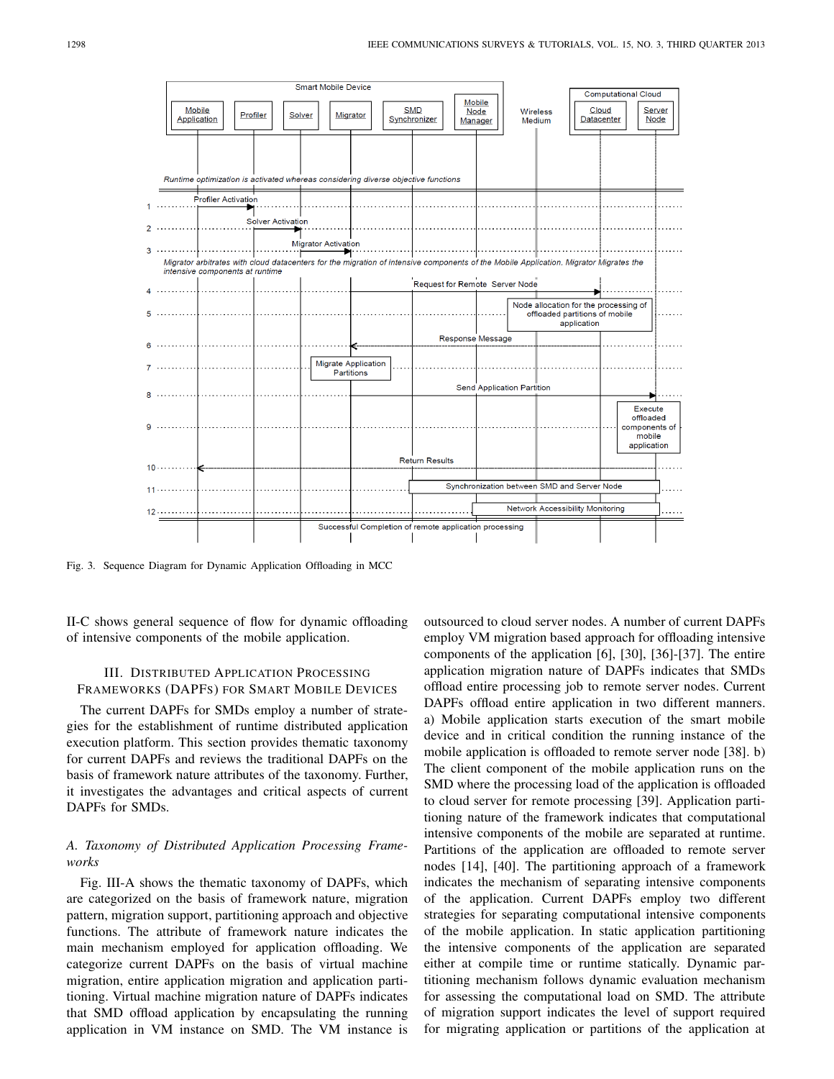

Fig. 3. Sequence Diagram for Dynamic Application Offloading in MCC

II-C shows general sequence of flow for dynamic offloading of intensive components of the mobile application.

# III. DISTRIBUTED APPLICATION PROCESSING FRAMEWORKS (DAPFS) FOR SMART MOBILE DEVICES

The current DAPFs for SMDs employ a number of strategies for the establishment of runtime distributed application execution platform. This section provides thematic taxonomy for current DAPFs and reviews the traditional DAPFs on the basis of framework nature attributes of the taxonomy. Further, it investigates the advantages and critical aspects of current DAPFs for SMDs.

# *A. Taxonomy of Distributed Application Processing Frameworks*

Fig. III-A shows the thematic taxonomy of DAPFs, which are categorized on the basis of framework nature, migration pattern, migration support, partitioning approach and objective functions. The attribute of framework nature indicates the main mechanism employed for application offloading. We categorize current DAPFs on the basis of virtual machine migration, entire application migration and application partitioning. Virtual machine migration nature of DAPFs indicates that SMD offload application by encapsulating the running application in VM instance on SMD. The VM instance is outsourced to cloud server nodes. A number of current DAPFs employ VM migration based approach for offloading intensive components of the application [6], [30], [36]-[37]. The entire application migration nature of DAPFs indicates that SMDs offload entire processing job to remote server nodes. Current DAPFs offload entire application in two different manners. a) Mobile application starts execution of the smart mobile device and in critical condition the running instance of the mobile application is offloaded to remote server node [38]. b) The client component of the mobile application runs on the SMD where the processing load of the application is offloaded to cloud server for remote processing [39]. Application partitioning nature of the framework indicates that computational intensive components of the mobile are separated at runtime. Partitions of the application are offloaded to remote server nodes [14], [40]. The partitioning approach of a framework indicates the mechanism of separating intensive components of the application. Current DAPFs employ two different strategies for separating computational intensive components of the mobile application. In static application partitioning the intensive components of the application are separated either at compile time or runtime statically. Dynamic partitioning mechanism follows dynamic evaluation mechanism for assessing the computational load on SMD. The attribute of migration support indicates the level of support required for migrating application or partitions of the application at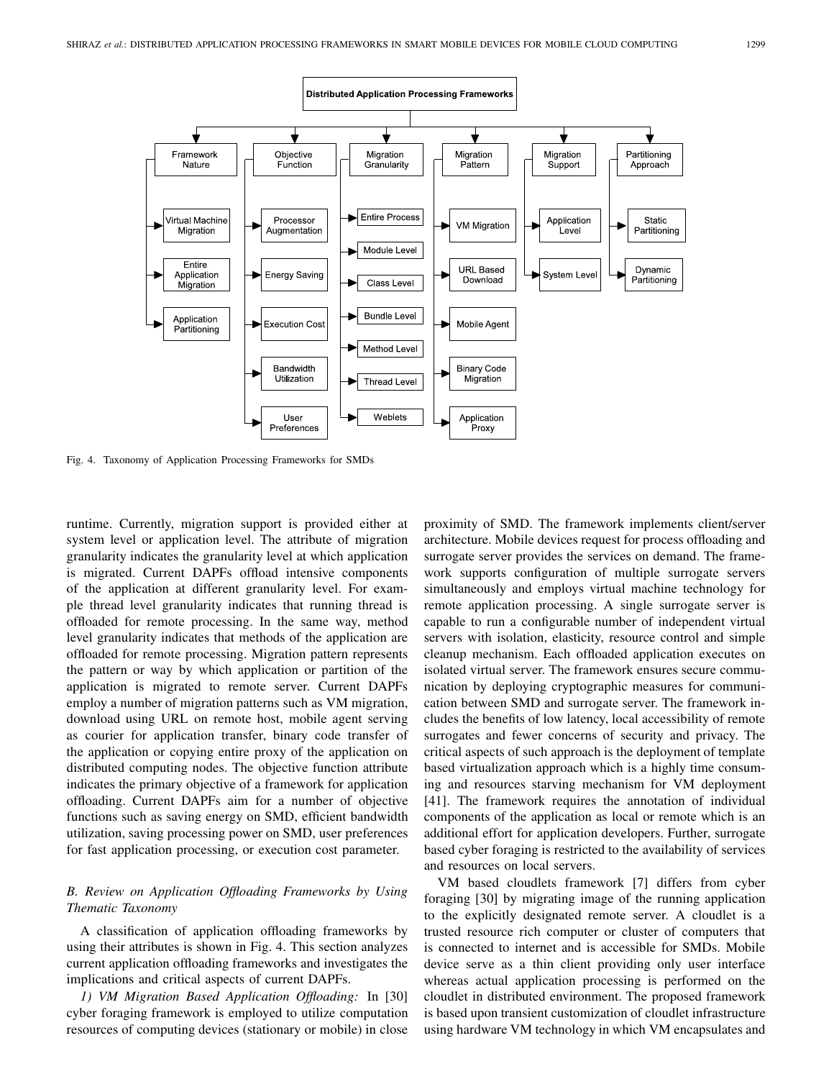

Fig. 4. Taxonomy of Application Processing Frameworks for SMDs

runtime. Currently, migration support is provided either at system level or application level. The attribute of migration granularity indicates the granularity level at which application is migrated. Current DAPFs offload intensive components of the application at different granularity level. For example thread level granularity indicates that running thread is offloaded for remote processing. In the same way, method level granularity indicates that methods of the application are offloaded for remote processing. Migration pattern represents the pattern or way by which application or partition of the application is migrated to remote server. Current DAPFs employ a number of migration patterns such as VM migration, download using URL on remote host, mobile agent serving as courier for application transfer, binary code transfer of the application or copying entire proxy of the application on distributed computing nodes. The objective function attribute indicates the primary objective of a framework for application offloading. Current DAPFs aim for a number of objective functions such as saving energy on SMD, efficient bandwidth utilization, saving processing power on SMD, user preferences for fast application processing, or execution cost parameter.

# *B. Review on Application Offloading Frameworks by Using Thematic Taxonomy*

A classification of application offloading frameworks by using their attributes is shown in Fig. 4. This section analyzes current application offloading frameworks and investigates the implications and critical aspects of current DAPFs.

*1) VM Migration Based Application Offloading:* In [30] cyber foraging framework is employed to utilize computation resources of computing devices (stationary or mobile) in close

proximity of SMD. The framework implements client/server architecture. Mobile devices request for process offloading and surrogate server provides the services on demand. The framework supports configuration of multiple surrogate servers simultaneously and employs virtual machine technology for remote application processing. A single surrogate server is capable to run a configurable number of independent virtual servers with isolation, elasticity, resource control and simple cleanup mechanism. Each offloaded application executes on isolated virtual server. The framework ensures secure communication by deploying cryptographic measures for communication between SMD and surrogate server. The framework includes the benefits of low latency, local accessibility of remote surrogates and fewer concerns of security and privacy. The critical aspects of such approach is the deployment of template based virtualization approach which is a highly time consuming and resources starving mechanism for VM deployment [41]. The framework requires the annotation of individual components of the application as local or remote which is an additional effort for application developers. Further, surrogate based cyber foraging is restricted to the availability of services and resources on local servers.

VM based cloudlets framework [7] differs from cyber foraging [30] by migrating image of the running application to the explicitly designated remote server. A cloudlet is a trusted resource rich computer or cluster of computers that is connected to internet and is accessible for SMDs. Mobile device serve as a thin client providing only user interface whereas actual application processing is performed on the cloudlet in distributed environment. The proposed framework is based upon transient customization of cloudlet infrastructure using hardware VM technology in which VM encapsulates and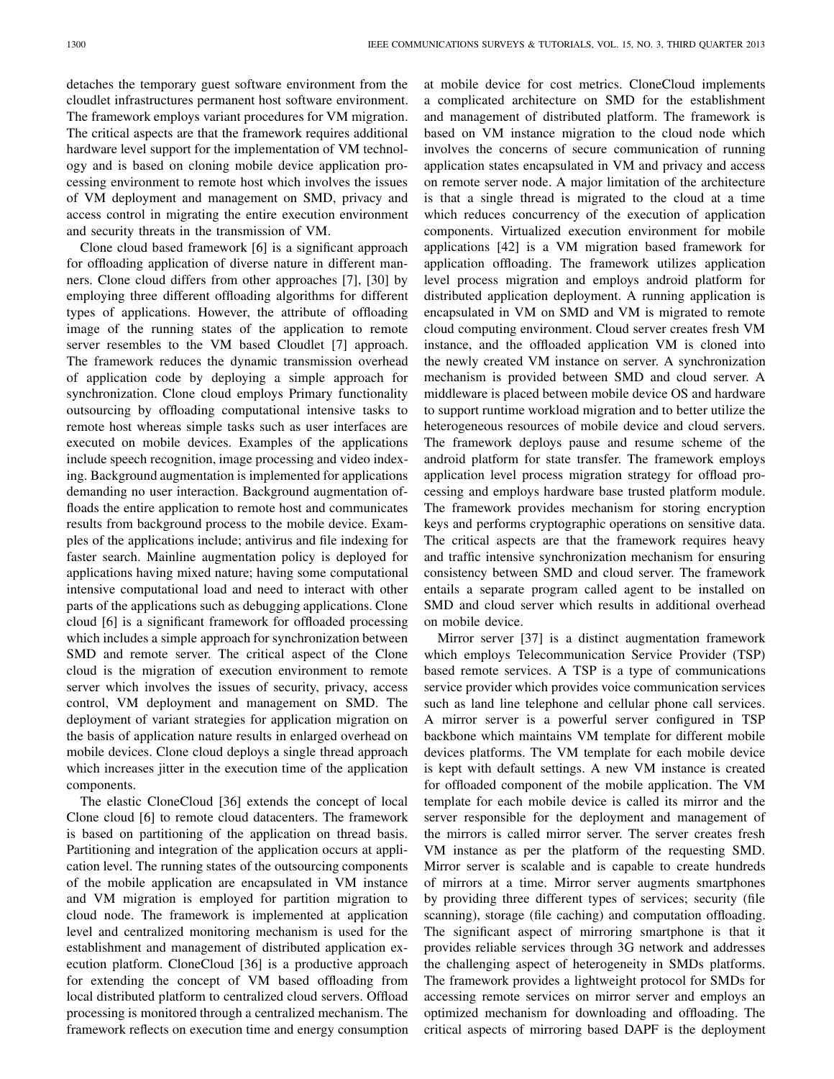detaches the temporary guest software environment from the cloudlet infrastructures permanent host software environment. The framework employs variant procedures for VM migration. The critical aspects are that the framework requires additional hardware level support for the implementation of VM technology and is based on cloning mobile device application processing environment to remote host which involves the issues of VM deployment and management on SMD, privacy and access control in migrating the entire execution environment and security threats in the transmission of VM.

Clone cloud based framework [6] is a significant approach for offloading application of diverse nature in different manners. Clone cloud differs from other approaches [7], [30] by employing three different offloading algorithms for different types of applications. However, the attribute of offloading image of the running states of the application to remote server resembles to the VM based Cloudlet [7] approach. The framework reduces the dynamic transmission overhead of application code by deploying a simple approach for synchronization. Clone cloud employs Primary functionality outsourcing by offloading computational intensive tasks to remote host whereas simple tasks such as user interfaces are executed on mobile devices. Examples of the applications include speech recognition, image processing and video indexing. Background augmentation is implemented for applications demanding no user interaction. Background augmentation offloads the entire application to remote host and communicates results from background process to the mobile device. Examples of the applications include; antivirus and file indexing for faster search. Mainline augmentation policy is deployed for applications having mixed nature; having some computational intensive computational load and need to interact with other parts of the applications such as debugging applications. Clone cloud [6] is a significant framework for offloaded processing which includes a simple approach for synchronization between SMD and remote server. The critical aspect of the Clone cloud is the migration of execution environment to remote server which involves the issues of security, privacy, access control, VM deployment and management on SMD. The deployment of variant strategies for application migration on the basis of application nature results in enlarged overhead on mobile devices. Clone cloud deploys a single thread approach which increases jitter in the execution time of the application components.

The elastic CloneCloud [36] extends the concept of local Clone cloud [6] to remote cloud datacenters. The framework is based on partitioning of the application on thread basis. Partitioning and integration of the application occurs at application level. The running states of the outsourcing components of the mobile application are encapsulated in VM instance and VM migration is employed for partition migration to cloud node. The framework is implemented at application level and centralized monitoring mechanism is used for the establishment and management of distributed application execution platform. CloneCloud [36] is a productive approach for extending the concept of VM based offloading from local distributed platform to centralized cloud servers. Offload processing is monitored through a centralized mechanism. The framework reflects on execution time and energy consumption at mobile device for cost metrics. CloneCloud implements a complicated architecture on SMD for the establishment and management of distributed platform. The framework is based on VM instance migration to the cloud node which involves the concerns of secure communication of running application states encapsulated in VM and privacy and access on remote server node. A major limitation of the architecture is that a single thread is migrated to the cloud at a time which reduces concurrency of the execution of application components. Virtualized execution environment for mobile applications [42] is a VM migration based framework for application offloading. The framework utilizes application level process migration and employs android platform for distributed application deployment. A running application is encapsulated in VM on SMD and VM is migrated to remote cloud computing environment. Cloud server creates fresh VM instance, and the offloaded application VM is cloned into the newly created VM instance on server. A synchronization mechanism is provided between SMD and cloud server. A middleware is placed between mobile device OS and hardware to support runtime workload migration and to better utilize the heterogeneous resources of mobile device and cloud servers. The framework deploys pause and resume scheme of the android platform for state transfer. The framework employs application level process migration strategy for offload processing and employs hardware base trusted platform module. The framework provides mechanism for storing encryption keys and performs cryptographic operations on sensitive data. The critical aspects are that the framework requires heavy and traffic intensive synchronization mechanism for ensuring consistency between SMD and cloud server. The framework entails a separate program called agent to be installed on SMD and cloud server which results in additional overhead on mobile device.

Mirror server [37] is a distinct augmentation framework which employs Telecommunication Service Provider (TSP) based remote services. A TSP is a type of communications service provider which provides voice communication services such as land line telephone and cellular phone call services. A mirror server is a powerful server configured in TSP backbone which maintains VM template for different mobile devices platforms. The VM template for each mobile device is kept with default settings. A new VM instance is created for offloaded component of the mobile application. The VM template for each mobile device is called its mirror and the server responsible for the deployment and management of the mirrors is called mirror server. The server creates fresh VM instance as per the platform of the requesting SMD. Mirror server is scalable and is capable to create hundreds of mirrors at a time. Mirror server augments smartphones by providing three different types of services; security (file scanning), storage (file caching) and computation offloading. The significant aspect of mirroring smartphone is that it provides reliable services through 3G network and addresses the challenging aspect of heterogeneity in SMDs platforms. The framework provides a lightweight protocol for SMDs for accessing remote services on mirror server and employs an optimized mechanism for downloading and offloading. The critical aspects of mirroring based DAPF is the deployment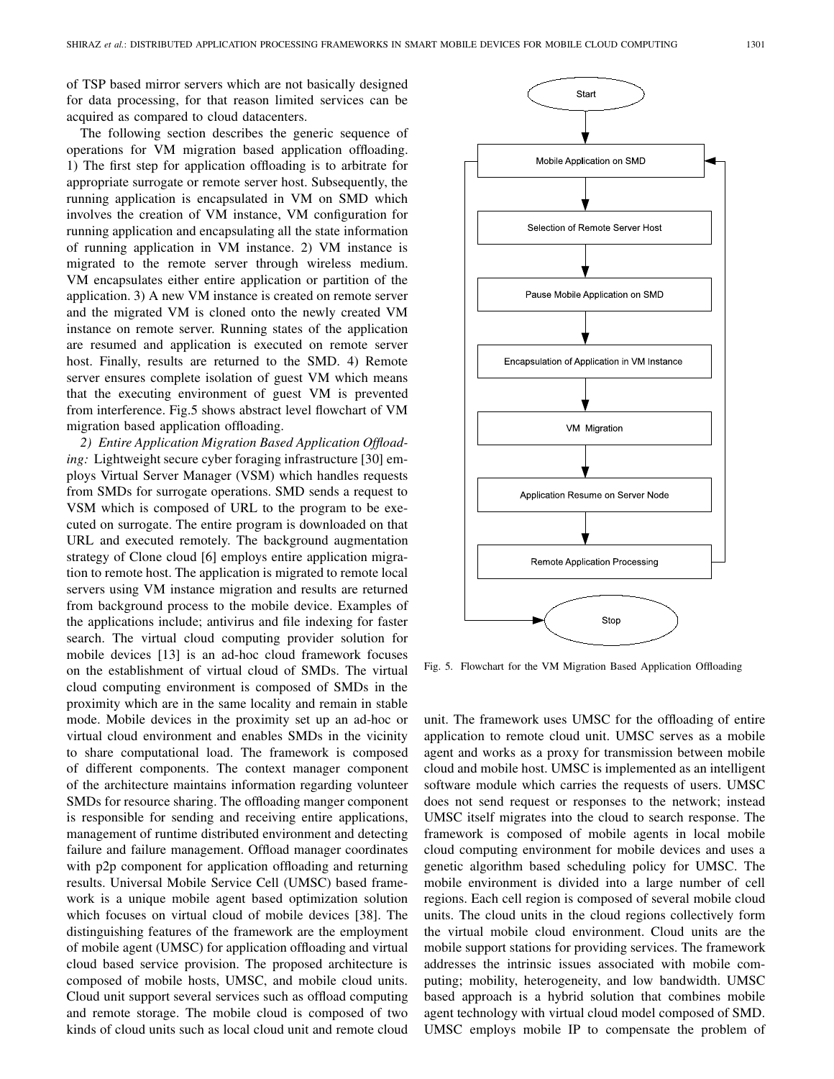of TSP based mirror servers which are not basically designed for data processing, for that reason limited services can be acquired as compared to cloud datacenters.

The following section describes the generic sequence of operations for VM migration based application offloading. 1) The first step for application offloading is to arbitrate for appropriate surrogate or remote server host. Subsequently, the running application is encapsulated in VM on SMD which involves the creation of VM instance, VM configuration for running application and encapsulating all the state information of running application in VM instance. 2) VM instance is migrated to the remote server through wireless medium. VM encapsulates either entire application or partition of the application. 3) A new VM instance is created on remote server and the migrated VM is cloned onto the newly created VM instance on remote server. Running states of the application are resumed and application is executed on remote server host. Finally, results are returned to the SMD. 4) Remote server ensures complete isolation of guest VM which means that the executing environment of guest VM is prevented from interference. Fig.5 shows abstract level flowchart of VM migration based application offloading.

*2) Entire Application Migration Based Application Offloading:* Lightweight secure cyber foraging infrastructure [30] employs Virtual Server Manager (VSM) which handles requests from SMDs for surrogate operations. SMD sends a request to VSM which is composed of URL to the program to be executed on surrogate. The entire program is downloaded on that URL and executed remotely. The background augmentation strategy of Clone cloud [6] employs entire application migration to remote host. The application is migrated to remote local servers using VM instance migration and results are returned from background process to the mobile device. Examples of the applications include; antivirus and file indexing for faster search. The virtual cloud computing provider solution for mobile devices [13] is an ad-hoc cloud framework focuses on the establishment of virtual cloud of SMDs. The virtual cloud computing environment is composed of SMDs in the proximity which are in the same locality and remain in stable mode. Mobile devices in the proximity set up an ad-hoc or virtual cloud environment and enables SMDs in the vicinity to share computational load. The framework is composed of different components. The context manager component of the architecture maintains information regarding volunteer SMDs for resource sharing. The offloading manger component is responsible for sending and receiving entire applications, management of runtime distributed environment and detecting failure and failure management. Offload manager coordinates with p2p component for application offloading and returning results. Universal Mobile Service Cell (UMSC) based framework is a unique mobile agent based optimization solution which focuses on virtual cloud of mobile devices [38]. The distinguishing features of the framework are the employment of mobile agent (UMSC) for application offloading and virtual cloud based service provision. The proposed architecture is composed of mobile hosts, UMSC, and mobile cloud units. Cloud unit support several services such as offload computing and remote storage. The mobile cloud is composed of two kinds of cloud units such as local cloud unit and remote cloud



Fig. 5. Flowchart for the VM Migration Based Application Offloading

unit. The framework uses UMSC for the offloading of entire application to remote cloud unit. UMSC serves as a mobile agent and works as a proxy for transmission between mobile cloud and mobile host. UMSC is implemented as an intelligent software module which carries the requests of users. UMSC does not send request or responses to the network; instead UMSC itself migrates into the cloud to search response. The framework is composed of mobile agents in local mobile cloud computing environment for mobile devices and uses a genetic algorithm based scheduling policy for UMSC. The mobile environment is divided into a large number of cell regions. Each cell region is composed of several mobile cloud units. The cloud units in the cloud regions collectively form the virtual mobile cloud environment. Cloud units are the mobile support stations for providing services. The framework addresses the intrinsic issues associated with mobile computing; mobility, heterogeneity, and low bandwidth. UMSC based approach is a hybrid solution that combines mobile agent technology with virtual cloud model composed of SMD. UMSC employs mobile IP to compensate the problem of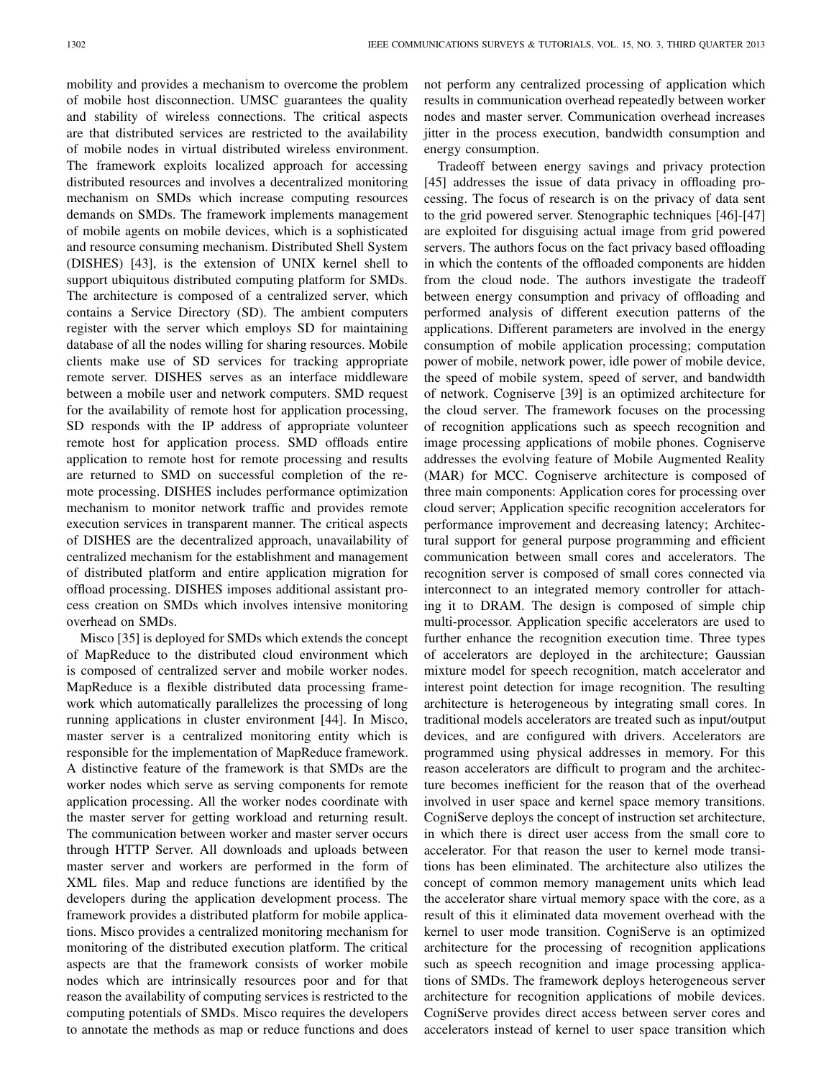mobility and provides a mechanism to overcome the problem of mobile host disconnection. UMSC guarantees the quality and stability of wireless connections. The critical aspects are that distributed services are restricted to the availability of mobile nodes in virtual distributed wireless environment. The framework exploits localized approach for accessing distributed resources and involves a decentralized monitoring mechanism on SMDs which increase computing resources demands on SMDs. The framework implements management of mobile agents on mobile devices, which is a sophisticated and resource consuming mechanism. Distributed Shell System (DISHES) [43], is the extension of UNIX kernel shell to support ubiquitous distributed computing platform for SMDs. The architecture is composed of a centralized server, which contains a Service Directory (SD). The ambient computers register with the server which employs SD for maintaining database of all the nodes willing for sharing resources. Mobile clients make use of SD services for tracking appropriate remote server. DISHES serves as an interface middleware between a mobile user and network computers. SMD request for the availability of remote host for application processing, SD responds with the IP address of appropriate volunteer remote host for application process. SMD offloads entire application to remote host for remote processing and results are returned to SMD on successful completion of the remote processing. DISHES includes performance optimization mechanism to monitor network traffic and provides remote execution services in transparent manner. The critical aspects of DISHES are the decentralized approach, unavailability of centralized mechanism for the establishment and management of distributed platform and entire application migration for offload processing. DISHES imposes additional assistant process creation on SMDs which involves intensive monitoring overhead on SMDs.

Misco [35] is deployed for SMDs which extends the concept of MapReduce to the distributed cloud environment which is composed of centralized server and mobile worker nodes. MapReduce is a flexible distributed data processing framework which automatically parallelizes the processing of long running applications in cluster environment [44]. In Misco, master server is a centralized monitoring entity which is responsible for the implementation of MapReduce framework. A distinctive feature of the framework is that SMDs are the worker nodes which serve as serving components for remote application processing. All the worker nodes coordinate with the master server for getting workload and returning result. The communication between worker and master server occurs through HTTP Server. All downloads and uploads between master server and workers are performed in the form of XML files. Map and reduce functions are identified by the developers during the application development process. The framework provides a distributed platform for mobile applications. Misco provides a centralized monitoring mechanism for monitoring of the distributed execution platform. The critical aspects are that the framework consists of worker mobile nodes which are intrinsically resources poor and for that reason the availability of computing services is restricted to the computing potentials of SMDs. Misco requires the developers to annotate the methods as map or reduce functions and does

not perform any centralized processing of application which results in communication overhead repeatedly between worker nodes and master server. Communication overhead increases jitter in the process execution, bandwidth consumption and energy consumption.

Tradeoff between energy savings and privacy protection [45] addresses the issue of data privacy in offloading processing. The focus of research is on the privacy of data sent to the grid powered server. Stenographic techniques [46]-[47] are exploited for disguising actual image from grid powered servers. The authors focus on the fact privacy based offloading in which the contents of the offloaded components are hidden from the cloud node. The authors investigate the tradeoff between energy consumption and privacy of offloading and performed analysis of different execution patterns of the applications. Different parameters are involved in the energy consumption of mobile application processing; computation power of mobile, network power, idle power of mobile device, the speed of mobile system, speed of server, and bandwidth of network. Cogniserve [39] is an optimized architecture for the cloud server. The framework focuses on the processing of recognition applications such as speech recognition and image processing applications of mobile phones. Cogniserve addresses the evolving feature of Mobile Augmented Reality (MAR) for MCC. Cogniserve architecture is composed of three main components: Application cores for processing over cloud server; Application specific recognition accelerators for performance improvement and decreasing latency; Architectural support for general purpose programming and efficient communication between small cores and accelerators. The recognition server is composed of small cores connected via interconnect to an integrated memory controller for attaching it to DRAM. The design is composed of simple chip multi-processor. Application specific accelerators are used to further enhance the recognition execution time. Three types of accelerators are deployed in the architecture; Gaussian mixture model for speech recognition, match accelerator and interest point detection for image recognition. The resulting architecture is heterogeneous by integrating small cores. In traditional models accelerators are treated such as input/output devices, and are configured with drivers. Accelerators are programmed using physical addresses in memory. For this reason accelerators are difficult to program and the architecture becomes inefficient for the reason that of the overhead involved in user space and kernel space memory transitions. CogniServe deploys the concept of instruction set architecture, in which there is direct user access from the small core to accelerator. For that reason the user to kernel mode transitions has been eliminated. The architecture also utilizes the concept of common memory management units which lead the accelerator share virtual memory space with the core, as a result of this it eliminated data movement overhead with the kernel to user mode transition. CogniServe is an optimized architecture for the processing of recognition applications such as speech recognition and image processing applications of SMDs. The framework deploys heterogeneous server architecture for recognition applications of mobile devices. CogniServe provides direct access between server cores and accelerators instead of kernel to user space transition which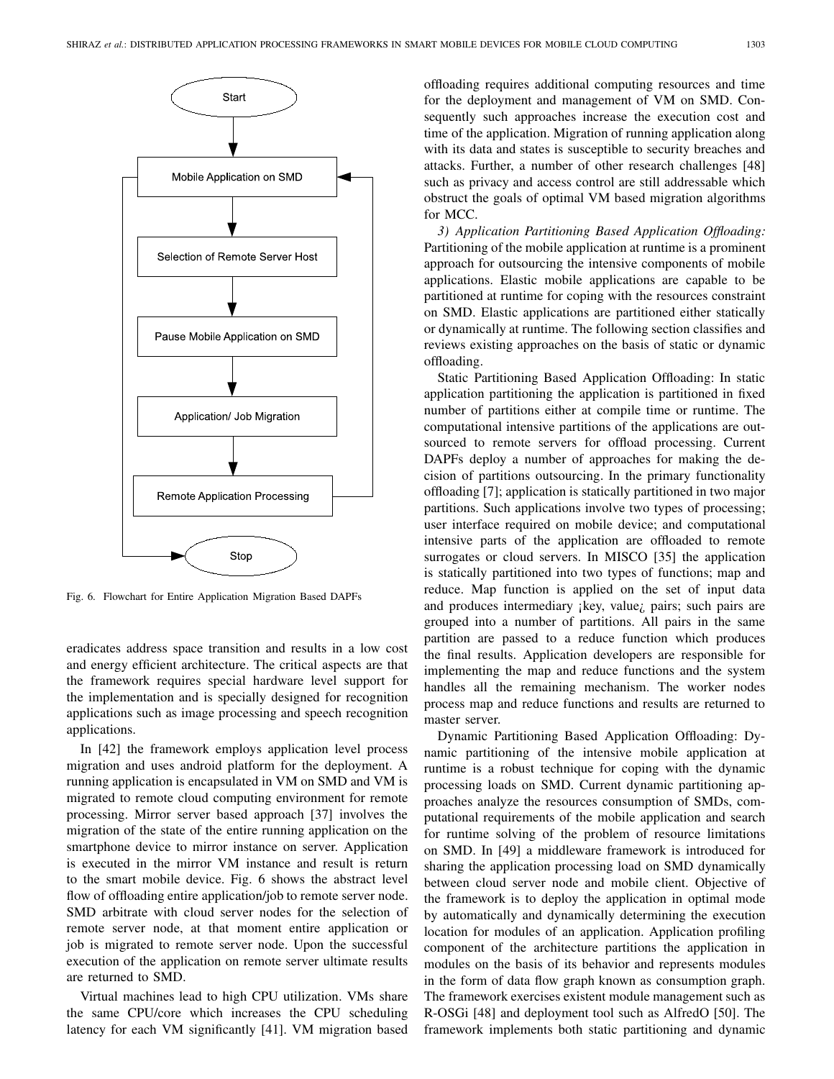

Fig. 6. Flowchart for Entire Application Migration Based DAPFs

eradicates address space transition and results in a low cost and energy efficient architecture. The critical aspects are that the framework requires special hardware level support for the implementation and is specially designed for recognition applications such as image processing and speech recognition applications.

In [42] the framework employs application level process migration and uses android platform for the deployment. A running application is encapsulated in VM on SMD and VM is migrated to remote cloud computing environment for remote processing. Mirror server based approach [37] involves the migration of the state of the entire running application on the smartphone device to mirror instance on server. Application is executed in the mirror VM instance and result is return to the smart mobile device. Fig. 6 shows the abstract level flow of offloading entire application/job to remote server node. SMD arbitrate with cloud server nodes for the selection of remote server node, at that moment entire application or job is migrated to remote server node. Upon the successful execution of the application on remote server ultimate results are returned to SMD.

Virtual machines lead to high CPU utilization. VMs share the same CPU/core which increases the CPU scheduling latency for each VM significantly [41]. VM migration based offloading requires additional computing resources and time for the deployment and management of VM on SMD. Consequently such approaches increase the execution cost and time of the application. Migration of running application along with its data and states is susceptible to security breaches and attacks. Further, a number of other research challenges [48] such as privacy and access control are still addressable which obstruct the goals of optimal VM based migration algorithms for MCC.

*3) Application Partitioning Based Application Offloading:* Partitioning of the mobile application at runtime is a prominent approach for outsourcing the intensive components of mobile applications. Elastic mobile applications are capable to be partitioned at runtime for coping with the resources constraint on SMD. Elastic applications are partitioned either statically or dynamically at runtime. The following section classifies and reviews existing approaches on the basis of static or dynamic offloading.

Static Partitioning Based Application Offloading: In static application partitioning the application is partitioned in fixed number of partitions either at compile time or runtime. The computational intensive partitions of the applications are outsourced to remote servers for offload processing. Current DAPFs deploy a number of approaches for making the decision of partitions outsourcing. In the primary functionality offloading [7]; application is statically partitioned in two major partitions. Such applications involve two types of processing; user interface required on mobile device; and computational intensive parts of the application are offloaded to remote surrogates or cloud servers. In MISCO [35] the application is statically partitioned into two types of functions; map and reduce. Map function is applied on the set of input data and produces intermediary ¡key, value¿ pairs; such pairs are grouped into a number of partitions. All pairs in the same partition are passed to a reduce function which produces the final results. Application developers are responsible for implementing the map and reduce functions and the system handles all the remaining mechanism. The worker nodes process map and reduce functions and results are returned to master server.

Dynamic Partitioning Based Application Offloading: Dynamic partitioning of the intensive mobile application at runtime is a robust technique for coping with the dynamic processing loads on SMD. Current dynamic partitioning approaches analyze the resources consumption of SMDs, computational requirements of the mobile application and search for runtime solving of the problem of resource limitations on SMD. In [49] a middleware framework is introduced for sharing the application processing load on SMD dynamically between cloud server node and mobile client. Objective of the framework is to deploy the application in optimal mode by automatically and dynamically determining the execution location for modules of an application. Application profiling component of the architecture partitions the application in modules on the basis of its behavior and represents modules in the form of data flow graph known as consumption graph. The framework exercises existent module management such as R-OSGi [48] and deployment tool such as AlfredO [50]. The framework implements both static partitioning and dynamic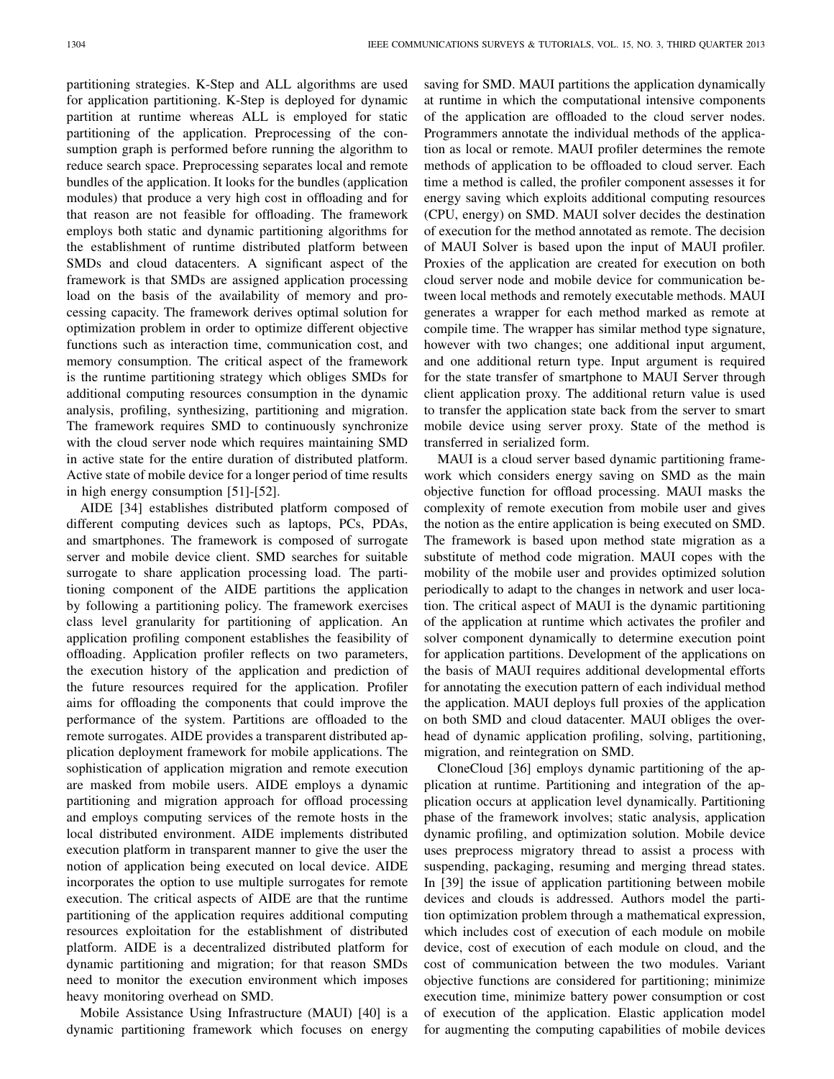partitioning strategies. K-Step and ALL algorithms are used for application partitioning. K-Step is deployed for dynamic partition at runtime whereas ALL is employed for static partitioning of the application. Preprocessing of the consumption graph is performed before running the algorithm to reduce search space. Preprocessing separates local and remote bundles of the application. It looks for the bundles (application modules) that produce a very high cost in offloading and for that reason are not feasible for offloading. The framework employs both static and dynamic partitioning algorithms for the establishment of runtime distributed platform between SMDs and cloud datacenters. A significant aspect of the framework is that SMDs are assigned application processing load on the basis of the availability of memory and processing capacity. The framework derives optimal solution for optimization problem in order to optimize different objective functions such as interaction time, communication cost, and memory consumption. The critical aspect of the framework is the runtime partitioning strategy which obliges SMDs for additional computing resources consumption in the dynamic analysis, profiling, synthesizing, partitioning and migration. The framework requires SMD to continuously synchronize with the cloud server node which requires maintaining SMD in active state for the entire duration of distributed platform. Active state of mobile device for a longer period of time results in high energy consumption [51]-[52].

AIDE [34] establishes distributed platform composed of different computing devices such as laptops, PCs, PDAs, and smartphones. The framework is composed of surrogate server and mobile device client. SMD searches for suitable surrogate to share application processing load. The partitioning component of the AIDE partitions the application by following a partitioning policy. The framework exercises class level granularity for partitioning of application. An application profiling component establishes the feasibility of offloading. Application profiler reflects on two parameters, the execution history of the application and prediction of the future resources required for the application. Profiler aims for offloading the components that could improve the performance of the system. Partitions are offloaded to the remote surrogates. AIDE provides a transparent distributed application deployment framework for mobile applications. The sophistication of application migration and remote execution are masked from mobile users. AIDE employs a dynamic partitioning and migration approach for offload processing and employs computing services of the remote hosts in the local distributed environment. AIDE implements distributed execution platform in transparent manner to give the user the notion of application being executed on local device. AIDE incorporates the option to use multiple surrogates for remote execution. The critical aspects of AIDE are that the runtime partitioning of the application requires additional computing resources exploitation for the establishment of distributed platform. AIDE is a decentralized distributed platform for dynamic partitioning and migration; for that reason SMDs need to monitor the execution environment which imposes heavy monitoring overhead on SMD.

Mobile Assistance Using Infrastructure (MAUI) [40] is a dynamic partitioning framework which focuses on energy saving for SMD. MAUI partitions the application dynamically at runtime in which the computational intensive components of the application are offloaded to the cloud server nodes. Programmers annotate the individual methods of the application as local or remote. MAUI profiler determines the remote methods of application to be offloaded to cloud server. Each time a method is called, the profiler component assesses it for energy saving which exploits additional computing resources (CPU, energy) on SMD. MAUI solver decides the destination of execution for the method annotated as remote. The decision of MAUI Solver is based upon the input of MAUI profiler. Proxies of the application are created for execution on both cloud server node and mobile device for communication between local methods and remotely executable methods. MAUI generates a wrapper for each method marked as remote at compile time. The wrapper has similar method type signature, however with two changes; one additional input argument, and one additional return type. Input argument is required for the state transfer of smartphone to MAUI Server through client application proxy. The additional return value is used to transfer the application state back from the server to smart mobile device using server proxy. State of the method is transferred in serialized form.

MAUI is a cloud server based dynamic partitioning framework which considers energy saving on SMD as the main objective function for offload processing. MAUI masks the complexity of remote execution from mobile user and gives the notion as the entire application is being executed on SMD. The framework is based upon method state migration as a substitute of method code migration. MAUI copes with the mobility of the mobile user and provides optimized solution periodically to adapt to the changes in network and user location. The critical aspect of MAUI is the dynamic partitioning of the application at runtime which activates the profiler and solver component dynamically to determine execution point for application partitions. Development of the applications on the basis of MAUI requires additional developmental efforts for annotating the execution pattern of each individual method the application. MAUI deploys full proxies of the application on both SMD and cloud datacenter. MAUI obliges the overhead of dynamic application profiling, solving, partitioning, migration, and reintegration on SMD.

CloneCloud [36] employs dynamic partitioning of the application at runtime. Partitioning and integration of the application occurs at application level dynamically. Partitioning phase of the framework involves; static analysis, application dynamic profiling, and optimization solution. Mobile device uses preprocess migratory thread to assist a process with suspending, packaging, resuming and merging thread states. In [39] the issue of application partitioning between mobile devices and clouds is addressed. Authors model the partition optimization problem through a mathematical expression, which includes cost of execution of each module on mobile device, cost of execution of each module on cloud, and the cost of communication between the two modules. Variant objective functions are considered for partitioning; minimize execution time, minimize battery power consumption or cost of execution of the application. Elastic application model for augmenting the computing capabilities of mobile devices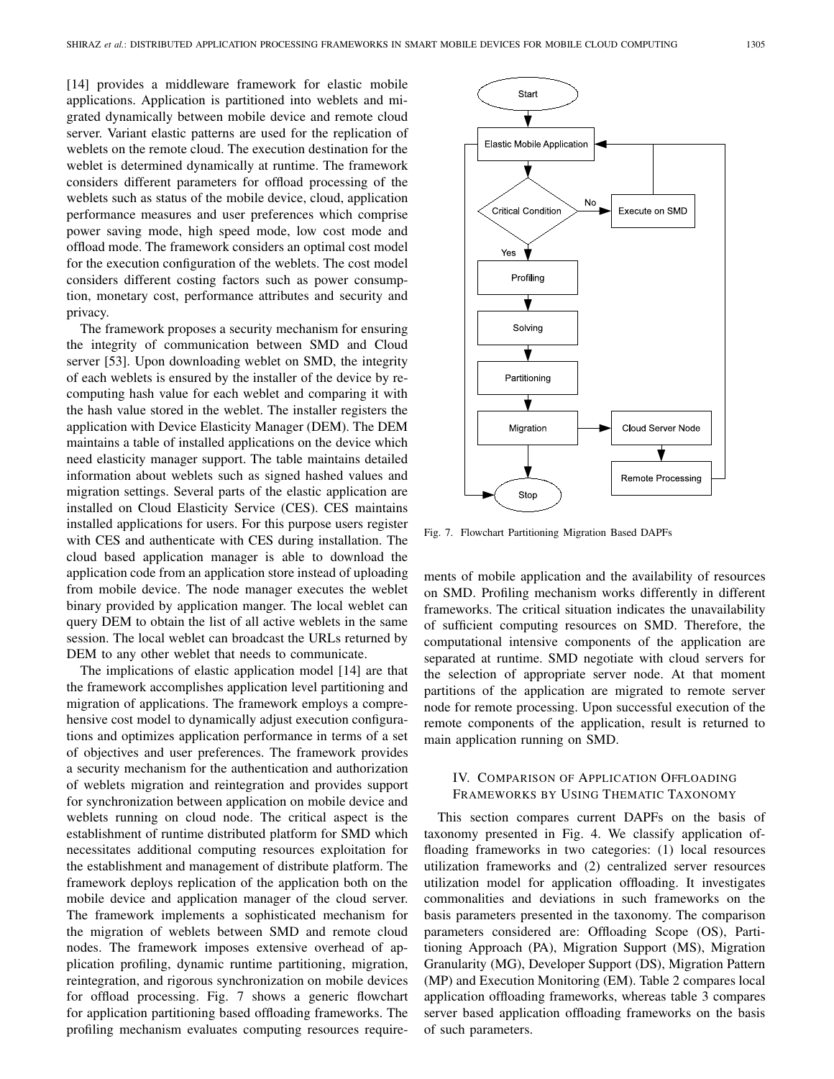[14] provides a middleware framework for elastic mobile applications. Application is partitioned into weblets and migrated dynamically between mobile device and remote cloud server. Variant elastic patterns are used for the replication of weblets on the remote cloud. The execution destination for the weblet is determined dynamically at runtime. The framework considers different parameters for offload processing of the weblets such as status of the mobile device, cloud, application performance measures and user preferences which comprise power saving mode, high speed mode, low cost mode and offload mode. The framework considers an optimal cost model for the execution configuration of the weblets. The cost model considers different costing factors such as power consumption, monetary cost, performance attributes and security and privacy.

The framework proposes a security mechanism for ensuring the integrity of communication between SMD and Cloud server [53]. Upon downloading weblet on SMD, the integrity of each weblets is ensured by the installer of the device by recomputing hash value for each weblet and comparing it with the hash value stored in the weblet. The installer registers the application with Device Elasticity Manager (DEM). The DEM maintains a table of installed applications on the device which need elasticity manager support. The table maintains detailed information about weblets such as signed hashed values and migration settings. Several parts of the elastic application are installed on Cloud Elasticity Service (CES). CES maintains installed applications for users. For this purpose users register with CES and authenticate with CES during installation. The cloud based application manager is able to download the application code from an application store instead of uploading from mobile device. The node manager executes the weblet binary provided by application manger. The local weblet can query DEM to obtain the list of all active weblets in the same session. The local weblet can broadcast the URLs returned by DEM to any other weblet that needs to communicate.

The implications of elastic application model [14] are that the framework accomplishes application level partitioning and migration of applications. The framework employs a comprehensive cost model to dynamically adjust execution configurations and optimizes application performance in terms of a set of objectives and user preferences. The framework provides a security mechanism for the authentication and authorization of weblets migration and reintegration and provides support for synchronization between application on mobile device and weblets running on cloud node. The critical aspect is the establishment of runtime distributed platform for SMD which necessitates additional computing resources exploitation for the establishment and management of distribute platform. The framework deploys replication of the application both on the mobile device and application manager of the cloud server. The framework implements a sophisticated mechanism for the migration of weblets between SMD and remote cloud nodes. The framework imposes extensive overhead of application profiling, dynamic runtime partitioning, migration, reintegration, and rigorous synchronization on mobile devices for offload processing. Fig. 7 shows a generic flowchart for application partitioning based offloading frameworks. The profiling mechanism evaluates computing resources require-



Fig. 7. Flowchart Partitioning Migration Based DAPFs

ments of mobile application and the availability of resources on SMD. Profiling mechanism works differently in different frameworks. The critical situation indicates the unavailability of sufficient computing resources on SMD. Therefore, the computational intensive components of the application are separated at runtime. SMD negotiate with cloud servers for the selection of appropriate server node. At that moment partitions of the application are migrated to remote server node for remote processing. Upon successful execution of the remote components of the application, result is returned to main application running on SMD.

# IV. COMPARISON OF APPLICATION OFFLOADING FRAMEWORKS BY USING THEMATIC TAXONOMY

This section compares current DAPFs on the basis of taxonomy presented in Fig. 4. We classify application offloading frameworks in two categories: (1) local resources utilization frameworks and (2) centralized server resources utilization model for application offloading. It investigates commonalities and deviations in such frameworks on the basis parameters presented in the taxonomy. The comparison parameters considered are: Offloading Scope (OS), Partitioning Approach (PA), Migration Support (MS), Migration Granularity (MG), Developer Support (DS), Migration Pattern (MP) and Execution Monitoring (EM). Table 2 compares local application offloading frameworks, whereas table 3 compares server based application offloading frameworks on the basis of such parameters.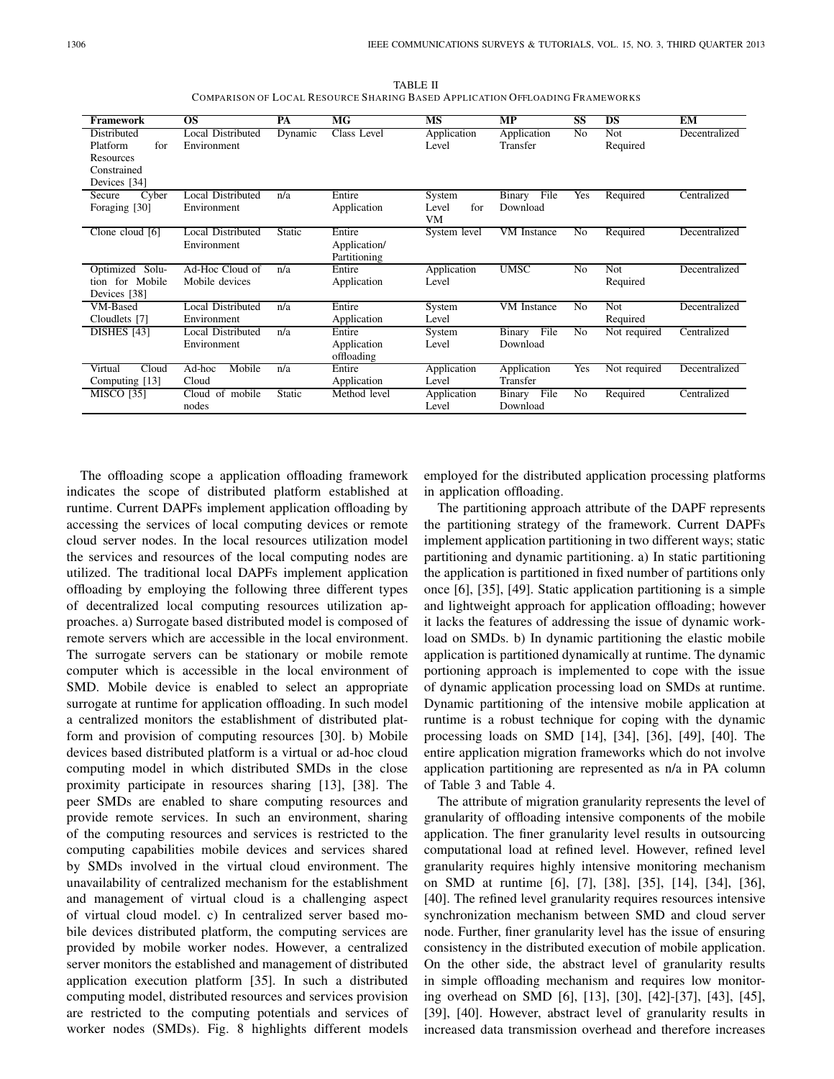TABLE II COMPARISON OF LOCAL RESOURCE SHARING BASED APPLICATION OFFLOADING FRAMEWORKS

| <b>Framework</b>                                                           | <b>OS</b>                         | PA            | MG                                     | <b>MS</b>                    | <b>MP</b>                  | <b>SS</b>      | <b>DS</b>              | <b>EM</b>     |
|----------------------------------------------------------------------------|-----------------------------------|---------------|----------------------------------------|------------------------------|----------------------------|----------------|------------------------|---------------|
| Distributed<br>Platform<br>for<br>Resources<br>Constrained<br>Devices [34] | Local Distributed<br>Environment  | Dynamic       | Class Level                            | Application<br>Level         | Application<br>Transfer    | No             | Not<br>Required        | Decentralized |
| Secure<br>Cyber<br>Foraging [30]                                           | Local Distributed<br>Environment  | n/a           | Entire<br>Application                  | System<br>for<br>Level<br>VM | File<br>Binary<br>Download | Yes            | Required               | Centralized   |
| Clone cloud $[6]$                                                          | Local Distributed<br>Environment  | <b>Static</b> | Entire<br>Application/<br>Partitioning | System level                 | <b>VM</b> Instance         | N <sub>0</sub> | Required               | Decentralized |
| Solu-<br>Optimized<br>tion for Mobile<br>Devices [38]                      | Ad-Hoc Cloud of<br>Mobile devices | n/a           | Entire<br>Application                  | Application<br>Level         | <b>UMSC</b>                | N <sub>0</sub> | <b>Not</b><br>Required | Decentralized |
| VM-Based<br>Cloudlets [7]                                                  | Local Distributed<br>Environment  | n/a           | Entire<br>Application                  | System<br>Level              | <b>VM</b> Instance         | N <sub>0</sub> | <b>Not</b><br>Required | Decentralized |
| <b>DISHES</b> [43]                                                         | Local Distributed<br>Environment  | n/a           | Entire<br>Application<br>offloading    | System<br>Level              | File<br>Binary<br>Download | No             | Not required           | Centralized   |
| Virtual<br>Cloud<br>Computing [13]                                         | Ad-hoc<br>Mobile<br>Cloud         | n/a           | Entire<br>Application                  | Application<br>Level         | Application<br>Transfer    | Yes            | Not required           | Decentralized |
| <b>MISCO</b> [35]                                                          | Cloud of mobile<br>nodes          | <b>Static</b> | Method level                           | Application<br>Level         | File<br>Binary<br>Download | N <sub>0</sub> | Required               | Centralized   |

The offloading scope a application offloading framework indicates the scope of distributed platform established at runtime. Current DAPFs implement application offloading by accessing the services of local computing devices or remote cloud server nodes. In the local resources utilization model the services and resources of the local computing nodes are utilized. The traditional local DAPFs implement application offloading by employing the following three different types of decentralized local computing resources utilization approaches. a) Surrogate based distributed model is composed of remote servers which are accessible in the local environment. The surrogate servers can be stationary or mobile remote computer which is accessible in the local environment of SMD. Mobile device is enabled to select an appropriate surrogate at runtime for application offloading. In such model a centralized monitors the establishment of distributed platform and provision of computing resources [30]. b) Mobile devices based distributed platform is a virtual or ad-hoc cloud computing model in which distributed SMDs in the close proximity participate in resources sharing [13], [38]. The peer SMDs are enabled to share computing resources and provide remote services. In such an environment, sharing of the computing resources and services is restricted to the computing capabilities mobile devices and services shared by SMDs involved in the virtual cloud environment. The unavailability of centralized mechanism for the establishment and management of virtual cloud is a challenging aspect of virtual cloud model. c) In centralized server based mobile devices distributed platform, the computing services are provided by mobile worker nodes. However, a centralized server monitors the established and management of distributed application execution platform [35]. In such a distributed computing model, distributed resources and services provision are restricted to the computing potentials and services of worker nodes (SMDs). Fig. 8 highlights different models employed for the distributed application processing platforms in application offloading.

The partitioning approach attribute of the DAPF represents the partitioning strategy of the framework. Current DAPFs implement application partitioning in two different ways; static partitioning and dynamic partitioning. a) In static partitioning the application is partitioned in fixed number of partitions only once [6], [35], [49]. Static application partitioning is a simple and lightweight approach for application offloading; however it lacks the features of addressing the issue of dynamic workload on SMDs. b) In dynamic partitioning the elastic mobile application is partitioned dynamically at runtime. The dynamic portioning approach is implemented to cope with the issue of dynamic application processing load on SMDs at runtime. Dynamic partitioning of the intensive mobile application at runtime is a robust technique for coping with the dynamic processing loads on SMD [14], [34], [36], [49], [40]. The entire application migration frameworks which do not involve application partitioning are represented as n/a in PA column of Table 3 and Table 4.

The attribute of migration granularity represents the level of granularity of offloading intensive components of the mobile application. The finer granularity level results in outsourcing computational load at refined level. However, refined level granularity requires highly intensive monitoring mechanism on SMD at runtime [6], [7], [38], [35], [14], [34], [36], [40]. The refined level granularity requires resources intensive synchronization mechanism between SMD and cloud server node. Further, finer granularity level has the issue of ensuring consistency in the distributed execution of mobile application. On the other side, the abstract level of granularity results in simple offloading mechanism and requires low monitoring overhead on SMD [6], [13], [30], [42]-[37], [43], [45], [39], [40]. However, abstract level of granularity results in increased data transmission overhead and therefore increases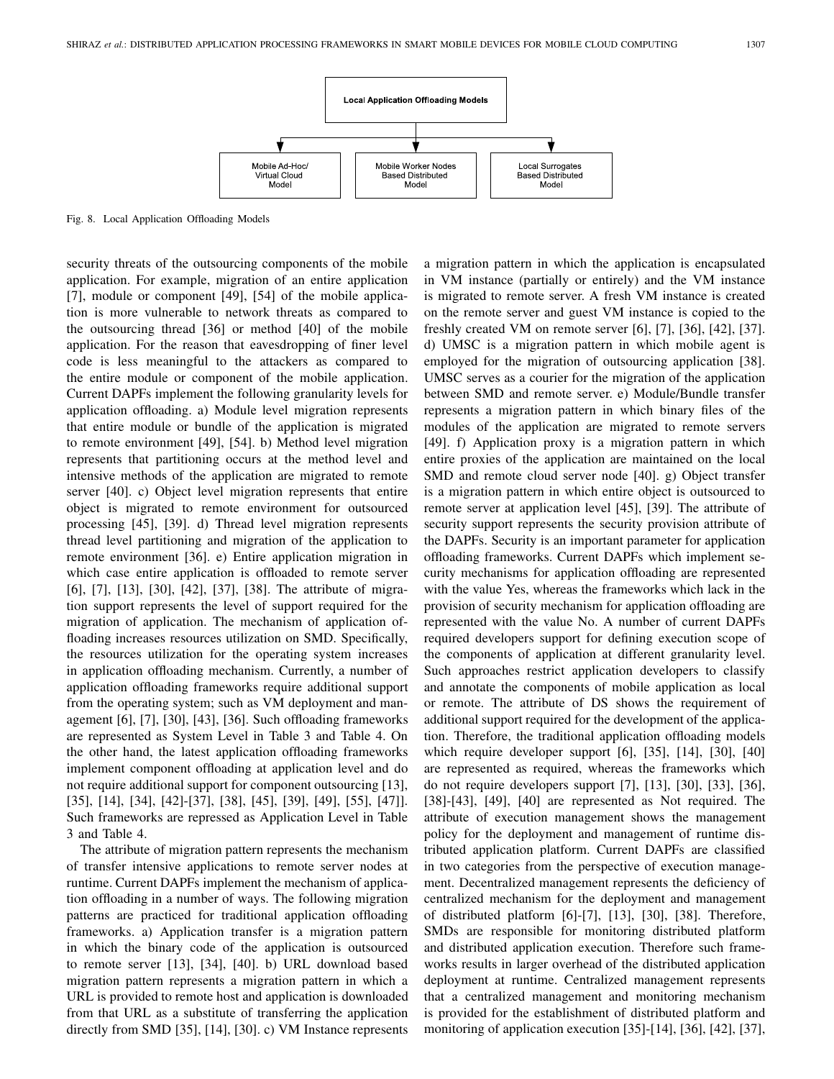

Fig. 8. Local Application Offloading Models

security threats of the outsourcing components of the mobile application. For example, migration of an entire application [7], module or component [49], [54] of the mobile application is more vulnerable to network threats as compared to the outsourcing thread [36] or method [40] of the mobile application. For the reason that eavesdropping of finer level code is less meaningful to the attackers as compared to the entire module or component of the mobile application. Current DAPFs implement the following granularity levels for application offloading. a) Module level migration represents that entire module or bundle of the application is migrated to remote environment [49], [54]. b) Method level migration represents that partitioning occurs at the method level and intensive methods of the application are migrated to remote server [40]. c) Object level migration represents that entire object is migrated to remote environment for outsourced processing [45], [39]. d) Thread level migration represents thread level partitioning and migration of the application to remote environment [36]. e) Entire application migration in which case entire application is offloaded to remote server [6], [7], [13], [30], [42], [37], [38]. The attribute of migration support represents the level of support required for the migration of application. The mechanism of application offloading increases resources utilization on SMD. Specifically, the resources utilization for the operating system increases in application offloading mechanism. Currently, a number of application offloading frameworks require additional support from the operating system; such as VM deployment and management [6], [7], [30], [43], [36]. Such offloading frameworks are represented as System Level in Table 3 and Table 4. On the other hand, the latest application offloading frameworks implement component offloading at application level and do not require additional support for component outsourcing [13], [35], [14], [34], [42]-[37], [38], [45], [39], [49], [55], [47]]. Such frameworks are repressed as Application Level in Table 3 and Table 4.

The attribute of migration pattern represents the mechanism of transfer intensive applications to remote server nodes at runtime. Current DAPFs implement the mechanism of application offloading in a number of ways. The following migration patterns are practiced for traditional application offloading frameworks. a) Application transfer is a migration pattern in which the binary code of the application is outsourced to remote server [13], [34], [40]. b) URL download based migration pattern represents a migration pattern in which a URL is provided to remote host and application is downloaded from that URL as a substitute of transferring the application directly from SMD [35], [14], [30]. c) VM Instance represents a migration pattern in which the application is encapsulated in VM instance (partially or entirely) and the VM instance is migrated to remote server. A fresh VM instance is created on the remote server and guest VM instance is copied to the freshly created VM on remote server [6], [7], [36], [42], [37]. d) UMSC is a migration pattern in which mobile agent is employed for the migration of outsourcing application [38]. UMSC serves as a courier for the migration of the application between SMD and remote server. e) Module/Bundle transfer represents a migration pattern in which binary files of the modules of the application are migrated to remote servers [49]. f) Application proxy is a migration pattern in which entire proxies of the application are maintained on the local SMD and remote cloud server node [40]. g) Object transfer is a migration pattern in which entire object is outsourced to remote server at application level [45], [39]. The attribute of security support represents the security provision attribute of the DAPFs. Security is an important parameter for application offloading frameworks. Current DAPFs which implement security mechanisms for application offloading are represented with the value Yes, whereas the frameworks which lack in the provision of security mechanism for application offloading are represented with the value No. A number of current DAPFs required developers support for defining execution scope of the components of application at different granularity level. Such approaches restrict application developers to classify and annotate the components of mobile application as local or remote. The attribute of DS shows the requirement of additional support required for the development of the application. Therefore, the traditional application offloading models which require developer support [6], [35], [14], [30], [40] are represented as required, whereas the frameworks which do not require developers support [7], [13], [30], [33], [36], [38]-[43], [49], [40] are represented as Not required. The attribute of execution management shows the management policy for the deployment and management of runtime distributed application platform. Current DAPFs are classified in two categories from the perspective of execution management. Decentralized management represents the deficiency of centralized mechanism for the deployment and management of distributed platform [6]-[7], [13], [30], [38]. Therefore, SMDs are responsible for monitoring distributed platform and distributed application execution. Therefore such frameworks results in larger overhead of the distributed application deployment at runtime. Centralized management represents that a centralized management and monitoring mechanism is provided for the establishment of distributed platform and monitoring of application execution [35]-[14], [36], [42], [37],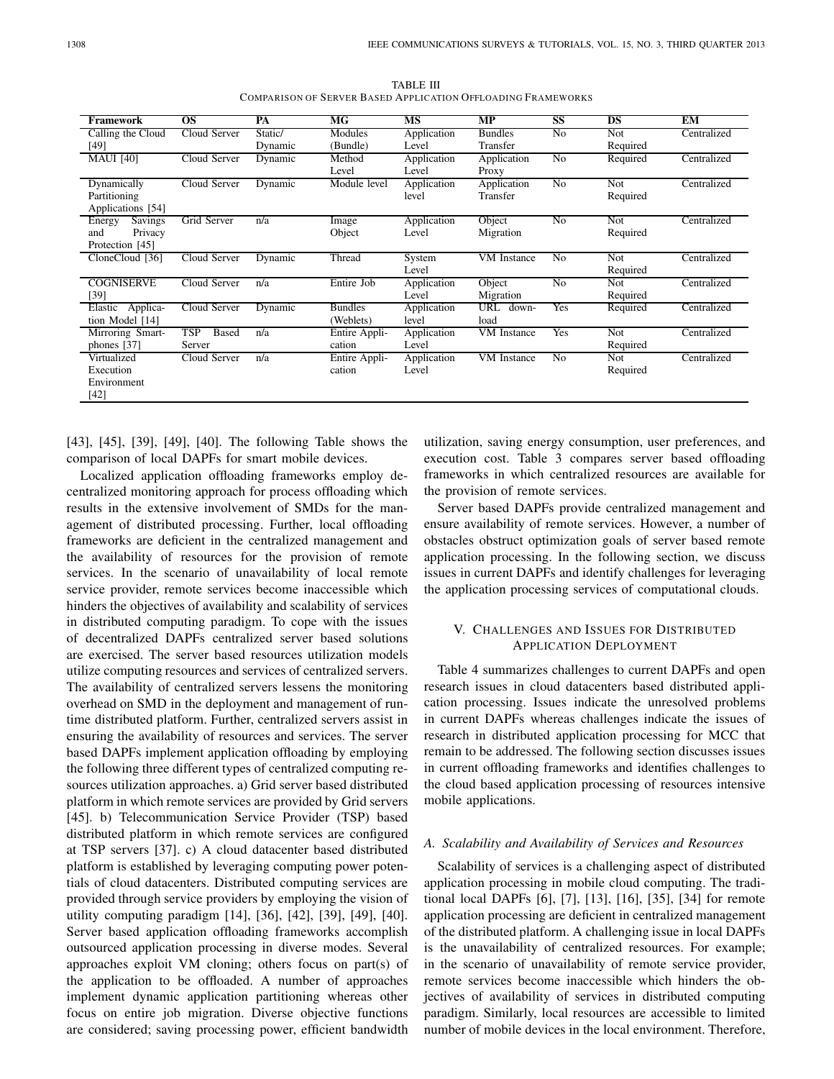TABLE III COMPARISON OF SERVER BASED APPLICATION OFFLOADING FRAMEWORKS

| <b>Framework</b>         | <b>OS</b>                  | PA      | <b>MG</b>      | <b>MS</b>   | <b>MP</b>          | $\overline{\text{SS}}$ | <b>DS</b> | EM          |
|--------------------------|----------------------------|---------|----------------|-------------|--------------------|------------------------|-----------|-------------|
| Calling the Cloud        | Cloud Server               | Static/ | Modules        | Application | <b>Bundles</b>     | N <sub>o</sub>         | Not       | Centralized |
| [49]                     |                            | Dynamic | (Bundle)       | Level       | Transfer           |                        | Required  |             |
| <b>MAUI</b> [40]         | Cloud Server               | Dynamic | Method         | Application | Application        | N <sub>0</sub>         | Required  | Centralized |
|                          |                            |         | Level          | Level       | Proxy              |                        |           |             |
| Dynamically              | Cloud Server               | Dynamic | Module level   | Application | Application        | N <sub>0</sub>         | Not       | Centralized |
| Partitioning             |                            |         |                | level       | Transfer           |                        | Required  |             |
| Applications [54]        |                            |         |                |             |                    |                        |           |             |
| <b>Savings</b><br>Energy | Grid Server                | n/a     | Image          | Application | Object             | N <sub>0</sub>         | Not       | Centralized |
| Privacy<br>and           |                            |         | Object         | Level       | Migration          |                        | Required  |             |
| Protection [45]          |                            |         |                |             |                    |                        |           |             |
| CloneCloud [36]          | Cloud Server               | Dynamic | Thread         | System      | VM Instance        | N <sub>o</sub>         | Not       | Centralized |
|                          |                            |         |                | Level       |                    |                        | Required  |             |
| <b>COGNISERVE</b>        | Cloud Server               | n/a     | Entire Job     | Application | Object             | N <sub>0</sub>         | Not       | Centralized |
| [39]                     |                            |         |                | Level       | Migration          |                        | Required  |             |
| Elastic Applica-         | Cloud Server               | Dynamic | <b>Bundles</b> | Application | URL<br>down-       | Yes                    | Required  | Centralized |
| tion Model [14]          |                            |         | (Weblets)      | level       | load               |                        |           |             |
| Mirroring Smart-         | <b>TSP</b><br><b>Based</b> | n/a     | Entire Appli-  | Application | VM Instance        | Yes                    | Not       | Centralized |
| phones [37]              | Server                     |         | cation         | Level       |                    |                        | Required  |             |
| Virtualized              | Cloud Server               | n/a     | Entire Appli-  | Application | <b>VM</b> Instance | N <sub>o</sub>         | Not       | Centralized |
| Execution                |                            |         | cation         | Level       |                    |                        | Required  |             |
| Environment              |                            |         |                |             |                    |                        |           |             |
| [42]                     |                            |         |                |             |                    |                        |           |             |

[43], [45], [39], [49], [40]. The following Table shows the comparison of local DAPFs for smart mobile devices.

Localized application offloading frameworks employ decentralized monitoring approach for process offloading which results in the extensive involvement of SMDs for the management of distributed processing. Further, local offloading frameworks are deficient in the centralized management and the availability of resources for the provision of remote services. In the scenario of unavailability of local remote service provider, remote services become inaccessible which hinders the objectives of availability and scalability of services in distributed computing paradigm. To cope with the issues of decentralized DAPFs centralized server based solutions are exercised. The server based resources utilization models utilize computing resources and services of centralized servers. The availability of centralized servers lessens the monitoring overhead on SMD in the deployment and management of runtime distributed platform. Further, centralized servers assist in ensuring the availability of resources and services. The server based DAPFs implement application offloading by employing the following three different types of centralized computing resources utilization approaches. a) Grid server based distributed platform in which remote services are provided by Grid servers [45]. b) Telecommunication Service Provider (TSP) based distributed platform in which remote services are configured at TSP servers [37]. c) A cloud datacenter based distributed platform is established by leveraging computing power potentials of cloud datacenters. Distributed computing services are provided through service providers by employing the vision of utility computing paradigm [14], [36], [42], [39], [49], [40]. Server based application offloading frameworks accomplish outsourced application processing in diverse modes. Several approaches exploit VM cloning; others focus on part(s) of the application to be offloaded. A number of approaches implement dynamic application partitioning whereas other focus on entire job migration. Diverse objective functions are considered; saving processing power, efficient bandwidth

utilization, saving energy consumption, user preferences, and execution cost. Table 3 compares server based offloading frameworks in which centralized resources are available for the provision of remote services.

Server based DAPFs provide centralized management and ensure availability of remote services. However, a number of obstacles obstruct optimization goals of server based remote application processing. In the following section, we discuss issues in current DAPFs and identify challenges for leveraging the application processing services of computational clouds.

# V. CHALLENGES AND ISSUES FOR DISTRIBUTED APPLICATION DEPLOYMENT

Table 4 summarizes challenges to current DAPFs and open research issues in cloud datacenters based distributed application processing. Issues indicate the unresolved problems in current DAPFs whereas challenges indicate the issues of research in distributed application processing for MCC that remain to be addressed. The following section discusses issues in current offloading frameworks and identifies challenges to the cloud based application processing of resources intensive mobile applications.

#### *A. Scalability and Availability of Services and Resources*

Scalability of services is a challenging aspect of distributed application processing in mobile cloud computing. The traditional local DAPFs [6], [7], [13], [16], [35], [34] for remote application processing are deficient in centralized management of the distributed platform. A challenging issue in local DAPFs is the unavailability of centralized resources. For example; in the scenario of unavailability of remote service provider, remote services become inaccessible which hinders the objectives of availability of services in distributed computing paradigm. Similarly, local resources are accessible to limited number of mobile devices in the local environment. Therefore,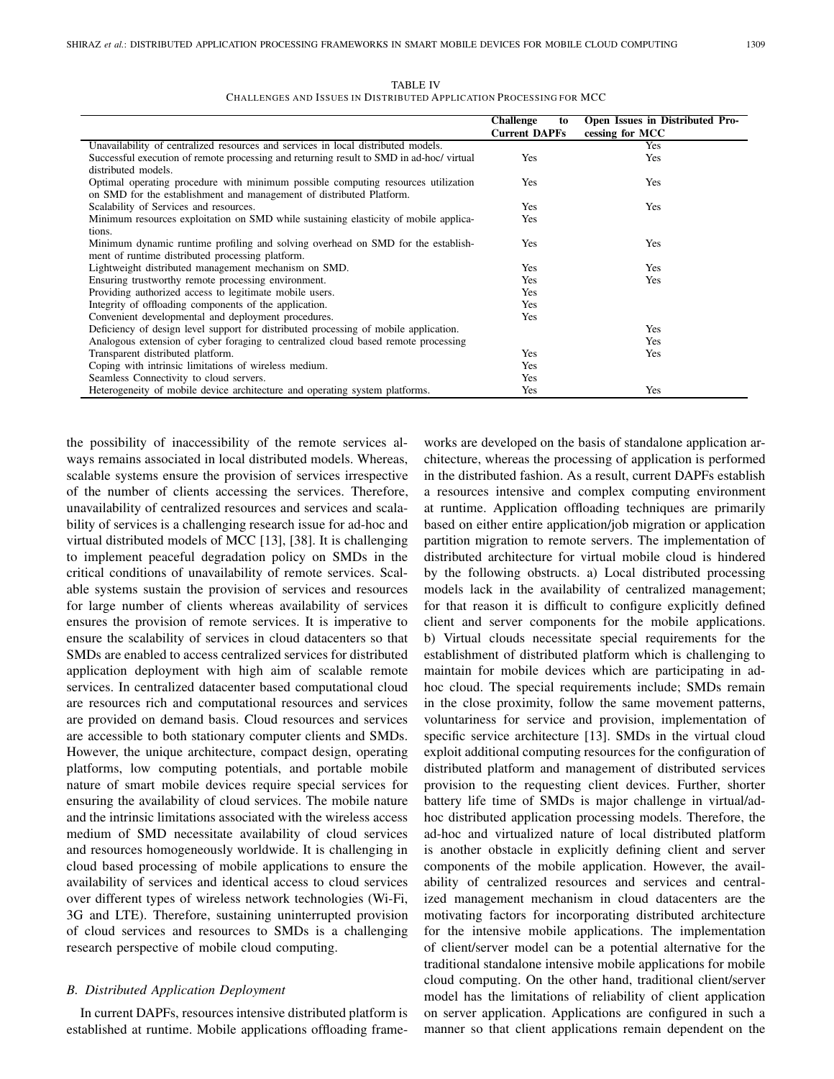|                                                                                          | <b>Challenge</b><br>to | Open Issues in Distributed Pro- |
|------------------------------------------------------------------------------------------|------------------------|---------------------------------|
|                                                                                          | <b>Current DAPFs</b>   | cessing for MCC                 |
| Unavailability of centralized resources and services in local distributed models.        |                        | Yes                             |
| Successful execution of remote processing and returning result to SMD in ad-hoc/ virtual | Yes                    | Yes                             |
| distributed models.                                                                      |                        |                                 |
| Optimal operating procedure with minimum possible computing resources utilization        | Yes                    | Yes                             |
| on SMD for the establishment and management of distributed Platform.                     |                        |                                 |
| Scalability of Services and resources.                                                   | Yes                    | Yes                             |
| Minimum resources exploitation on SMD while sustaining elasticity of mobile applica-     | Yes                    |                                 |
| tions.                                                                                   |                        |                                 |
| Minimum dynamic runtime profiling and solving overhead on SMD for the establish-         | Yes                    | Yes                             |
| ment of runtime distributed processing platform.                                         |                        |                                 |
| Lightweight distributed management mechanism on SMD.                                     | Yes                    | Yes                             |
| Ensuring trustworthy remote processing environment.                                      | Yes                    | Yes                             |
| Providing authorized access to legitimate mobile users.                                  | Yes                    |                                 |
| Integrity of offloading components of the application.                                   | Yes                    |                                 |
| Convenient developmental and deployment procedures.                                      | Yes                    |                                 |
| Deficiency of design level support for distributed processing of mobile application.     |                        | Yes                             |
| Analogous extension of cyber foraging to centralized cloud based remote processing       |                        | Yes                             |
| Transparent distributed platform.                                                        | Yes                    | Yes                             |
| Coping with intrinsic limitations of wireless medium.                                    | Yes                    |                                 |
| Seamless Connectivity to cloud servers.                                                  | Yes                    |                                 |
| Heterogeneity of mobile device architecture and operating system platforms.              | Yes                    | Yes                             |

TABLE IV CHALLENGES AND ISSUES IN DISTRIBUTED APPLICATION PROCESSING FOR MCC

the possibility of inaccessibility of the remote services always remains associated in local distributed models. Whereas, scalable systems ensure the provision of services irrespective of the number of clients accessing the services. Therefore, unavailability of centralized resources and services and scalability of services is a challenging research issue for ad-hoc and virtual distributed models of MCC [13], [38]. It is challenging to implement peaceful degradation policy on SMDs in the critical conditions of unavailability of remote services. Scalable systems sustain the provision of services and resources for large number of clients whereas availability of services ensures the provision of remote services. It is imperative to ensure the scalability of services in cloud datacenters so that SMDs are enabled to access centralized services for distributed application deployment with high aim of scalable remote services. In centralized datacenter based computational cloud are resources rich and computational resources and services are provided on demand basis. Cloud resources and services are accessible to both stationary computer clients and SMDs. However, the unique architecture, compact design, operating platforms, low computing potentials, and portable mobile nature of smart mobile devices require special services for ensuring the availability of cloud services. The mobile nature and the intrinsic limitations associated with the wireless access medium of SMD necessitate availability of cloud services and resources homogeneously worldwide. It is challenging in cloud based processing of mobile applications to ensure the availability of services and identical access to cloud services over different types of wireless network technologies (Wi-Fi, 3G and LTE). Therefore, sustaining uninterrupted provision of cloud services and resources to SMDs is a challenging research perspective of mobile cloud computing.

## *B. Distributed Application Deployment*

In current DAPFs, resources intensive distributed platform is established at runtime. Mobile applications offloading frameworks are developed on the basis of standalone application architecture, whereas the processing of application is performed in the distributed fashion. As a result, current DAPFs establish a resources intensive and complex computing environment at runtime. Application offloading techniques are primarily based on either entire application/job migration or application partition migration to remote servers. The implementation of distributed architecture for virtual mobile cloud is hindered by the following obstructs. a) Local distributed processing models lack in the availability of centralized management; for that reason it is difficult to configure explicitly defined client and server components for the mobile applications. b) Virtual clouds necessitate special requirements for the establishment of distributed platform which is challenging to maintain for mobile devices which are participating in adhoc cloud. The special requirements include; SMDs remain in the close proximity, follow the same movement patterns, voluntariness for service and provision, implementation of specific service architecture [13]. SMDs in the virtual cloud exploit additional computing resources for the configuration of distributed platform and management of distributed services provision to the requesting client devices. Further, shorter battery life time of SMDs is major challenge in virtual/adhoc distributed application processing models. Therefore, the ad-hoc and virtualized nature of local distributed platform is another obstacle in explicitly defining client and server components of the mobile application. However, the availability of centralized resources and services and centralized management mechanism in cloud datacenters are the motivating factors for incorporating distributed architecture for the intensive mobile applications. The implementation of client/server model can be a potential alternative for the traditional standalone intensive mobile applications for mobile cloud computing. On the other hand, traditional client/server model has the limitations of reliability of client application on server application. Applications are configured in such a manner so that client applications remain dependent on the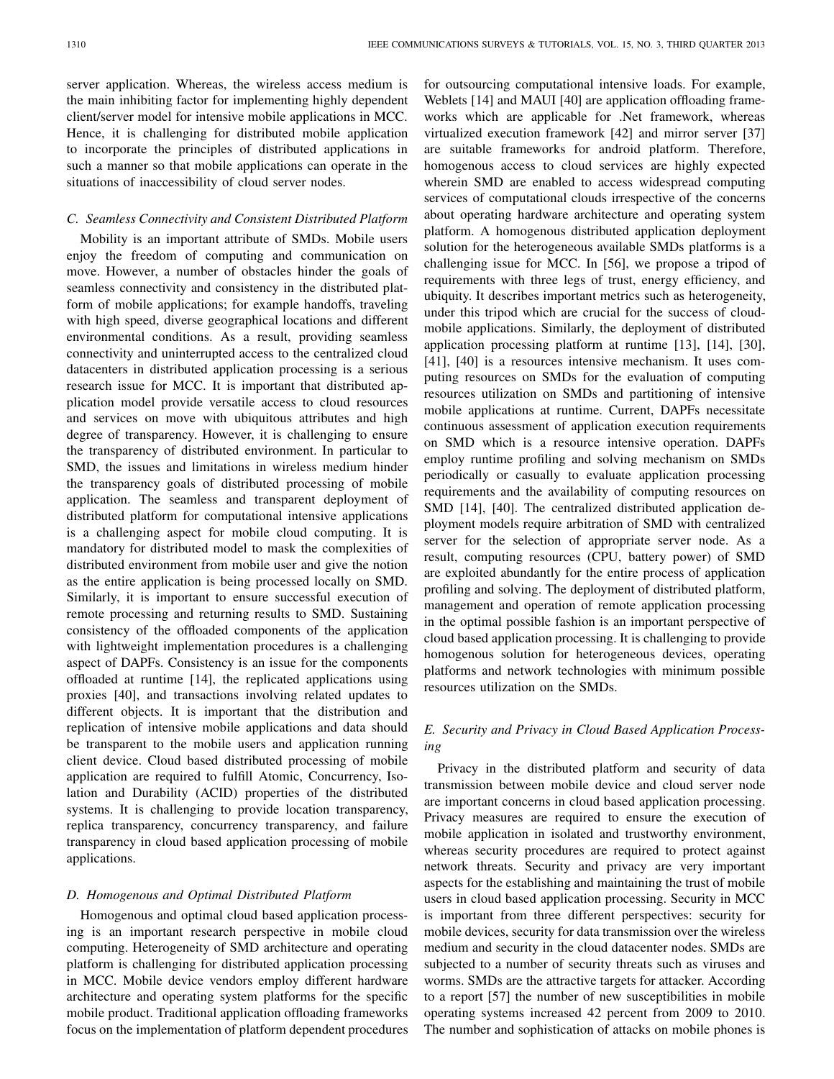server application. Whereas, the wireless access medium is the main inhibiting factor for implementing highly dependent client/server model for intensive mobile applications in MCC. Hence, it is challenging for distributed mobile application to incorporate the principles of distributed applications in such a manner so that mobile applications can operate in the situations of inaccessibility of cloud server nodes.

#### *C. Seamless Connectivity and Consistent Distributed Platform*

Mobility is an important attribute of SMDs. Mobile users enjoy the freedom of computing and communication on move. However, a number of obstacles hinder the goals of seamless connectivity and consistency in the distributed platform of mobile applications; for example handoffs, traveling with high speed, diverse geographical locations and different environmental conditions. As a result, providing seamless connectivity and uninterrupted access to the centralized cloud datacenters in distributed application processing is a serious research issue for MCC. It is important that distributed application model provide versatile access to cloud resources and services on move with ubiquitous attributes and high degree of transparency. However, it is challenging to ensure the transparency of distributed environment. In particular to SMD, the issues and limitations in wireless medium hinder the transparency goals of distributed processing of mobile application. The seamless and transparent deployment of distributed platform for computational intensive applications is a challenging aspect for mobile cloud computing. It is mandatory for distributed model to mask the complexities of distributed environment from mobile user and give the notion as the entire application is being processed locally on SMD. Similarly, it is important to ensure successful execution of remote processing and returning results to SMD. Sustaining consistency of the offloaded components of the application with lightweight implementation procedures is a challenging aspect of DAPFs. Consistency is an issue for the components offloaded at runtime [14], the replicated applications using proxies [40], and transactions involving related updates to different objects. It is important that the distribution and replication of intensive mobile applications and data should be transparent to the mobile users and application running client device. Cloud based distributed processing of mobile application are required to fulfill Atomic, Concurrency, Isolation and Durability (ACID) properties of the distributed systems. It is challenging to provide location transparency, replica transparency, concurrency transparency, and failure transparency in cloud based application processing of mobile applications.

#### *D. Homogenous and Optimal Distributed Platform*

Homogenous and optimal cloud based application processing is an important research perspective in mobile cloud computing. Heterogeneity of SMD architecture and operating platform is challenging for distributed application processing in MCC. Mobile device vendors employ different hardware architecture and operating system platforms for the specific mobile product. Traditional application offloading frameworks focus on the implementation of platform dependent procedures

for outsourcing computational intensive loads. For example, Weblets [14] and MAUI [40] are application offloading frameworks which are applicable for .Net framework, whereas virtualized execution framework [42] and mirror server [37] are suitable frameworks for android platform. Therefore, homogenous access to cloud services are highly expected wherein SMD are enabled to access widespread computing services of computational clouds irrespective of the concerns about operating hardware architecture and operating system platform. A homogenous distributed application deployment solution for the heterogeneous available SMDs platforms is a challenging issue for MCC. In [56], we propose a tripod of requirements with three legs of trust, energy efficiency, and ubiquity. It describes important metrics such as heterogeneity, under this tripod which are crucial for the success of cloudmobile applications. Similarly, the deployment of distributed application processing platform at runtime [13], [14], [30], [41], [40] is a resources intensive mechanism. It uses computing resources on SMDs for the evaluation of computing resources utilization on SMDs and partitioning of intensive mobile applications at runtime. Current, DAPFs necessitate continuous assessment of application execution requirements on SMD which is a resource intensive operation. DAPFs employ runtime profiling and solving mechanism on SMDs periodically or casually to evaluate application processing requirements and the availability of computing resources on SMD [14], [40]. The centralized distributed application deployment models require arbitration of SMD with centralized server for the selection of appropriate server node. As a result, computing resources (CPU, battery power) of SMD are exploited abundantly for the entire process of application profiling and solving. The deployment of distributed platform, management and operation of remote application processing in the optimal possible fashion is an important perspective of cloud based application processing. It is challenging to provide homogenous solution for heterogeneous devices, operating platforms and network technologies with minimum possible resources utilization on the SMDs.

# *E. Security and Privacy in Cloud Based Application Processing*

Privacy in the distributed platform and security of data transmission between mobile device and cloud server node are important concerns in cloud based application processing. Privacy measures are required to ensure the execution of mobile application in isolated and trustworthy environment, whereas security procedures are required to protect against network threats. Security and privacy are very important aspects for the establishing and maintaining the trust of mobile users in cloud based application processing. Security in MCC is important from three different perspectives: security for mobile devices, security for data transmission over the wireless medium and security in the cloud datacenter nodes. SMDs are subjected to a number of security threats such as viruses and worms. SMDs are the attractive targets for attacker. According to a report [57] the number of new susceptibilities in mobile operating systems increased 42 percent from 2009 to 2010. The number and sophistication of attacks on mobile phones is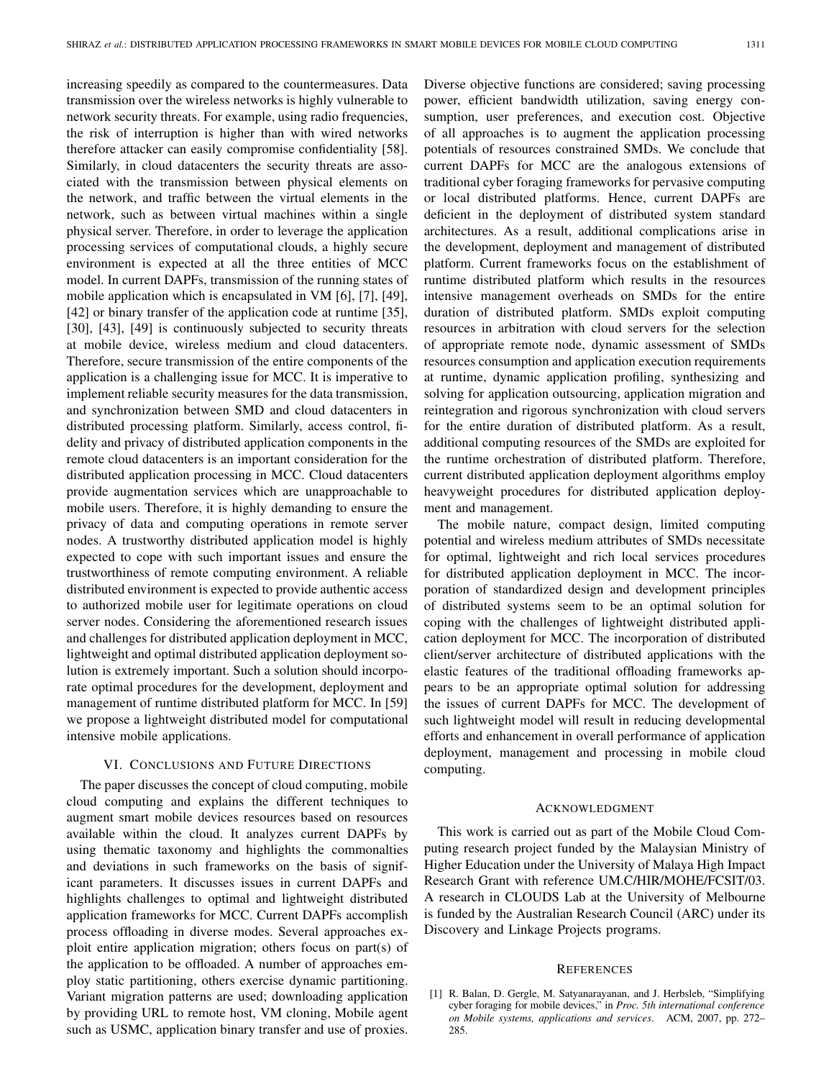increasing speedily as compared to the countermeasures. Data transmission over the wireless networks is highly vulnerable to network security threats. For example, using radio frequencies, the risk of interruption is higher than with wired networks therefore attacker can easily compromise confidentiality [58]. Similarly, in cloud datacenters the security threats are associated with the transmission between physical elements on the network, and traffic between the virtual elements in the network, such as between virtual machines within a single physical server. Therefore, in order to leverage the application processing services of computational clouds, a highly secure environment is expected at all the three entities of MCC model. In current DAPFs, transmission of the running states of mobile application which is encapsulated in VM [6], [7], [49], [42] or binary transfer of the application code at runtime [35], [30], [43], [49] is continuously subjected to security threats at mobile device, wireless medium and cloud datacenters. Therefore, secure transmission of the entire components of the application is a challenging issue for MCC. It is imperative to implement reliable security measures for the data transmission, and synchronization between SMD and cloud datacenters in distributed processing platform. Similarly, access control, fidelity and privacy of distributed application components in the remote cloud datacenters is an important consideration for the distributed application processing in MCC. Cloud datacenters provide augmentation services which are unapproachable to mobile users. Therefore, it is highly demanding to ensure the privacy of data and computing operations in remote server nodes. A trustworthy distributed application model is highly expected to cope with such important issues and ensure the trustworthiness of remote computing environment. A reliable distributed environment is expected to provide authentic access to authorized mobile user for legitimate operations on cloud server nodes. Considering the aforementioned research issues and challenges for distributed application deployment in MCC, lightweight and optimal distributed application deployment solution is extremely important. Such a solution should incorporate optimal procedures for the development, deployment and management of runtime distributed platform for MCC. In [59] we propose a lightweight distributed model for computational intensive mobile applications.

### VI. CONCLUSIONS AND FUTURE DIRECTIONS

The paper discusses the concept of cloud computing, mobile cloud computing and explains the different techniques to augment smart mobile devices resources based on resources available within the cloud. It analyzes current DAPFs by using thematic taxonomy and highlights the commonalties and deviations in such frameworks on the basis of significant parameters. It discusses issues in current DAPFs and highlights challenges to optimal and lightweight distributed application frameworks for MCC. Current DAPFs accomplish process offloading in diverse modes. Several approaches exploit entire application migration; others focus on part(s) of the application to be offloaded. A number of approaches employ static partitioning, others exercise dynamic partitioning. Variant migration patterns are used; downloading application by providing URL to remote host, VM cloning, Mobile agent such as USMC, application binary transfer and use of proxies. Diverse objective functions are considered; saving processing power, efficient bandwidth utilization, saving energy consumption, user preferences, and execution cost. Objective of all approaches is to augment the application processing potentials of resources constrained SMDs. We conclude that current DAPFs for MCC are the analogous extensions of traditional cyber foraging frameworks for pervasive computing or local distributed platforms. Hence, current DAPFs are deficient in the deployment of distributed system standard architectures. As a result, additional complications arise in the development, deployment and management of distributed platform. Current frameworks focus on the establishment of runtime distributed platform which results in the resources intensive management overheads on SMDs for the entire duration of distributed platform. SMDs exploit computing resources in arbitration with cloud servers for the selection of appropriate remote node, dynamic assessment of SMDs resources consumption and application execution requirements at runtime, dynamic application profiling, synthesizing and solving for application outsourcing, application migration and reintegration and rigorous synchronization with cloud servers for the entire duration of distributed platform. As a result, additional computing resources of the SMDs are exploited for the runtime orchestration of distributed platform. Therefore, current distributed application deployment algorithms employ heavyweight procedures for distributed application deployment and management.

The mobile nature, compact design, limited computing potential and wireless medium attributes of SMDs necessitate for optimal, lightweight and rich local services procedures for distributed application deployment in MCC. The incorporation of standardized design and development principles of distributed systems seem to be an optimal solution for coping with the challenges of lightweight distributed application deployment for MCC. The incorporation of distributed client/server architecture of distributed applications with the elastic features of the traditional offloading frameworks appears to be an appropriate optimal solution for addressing the issues of current DAPFs for MCC. The development of such lightweight model will result in reducing developmental efforts and enhancement in overall performance of application deployment, management and processing in mobile cloud computing.

#### ACKNOWLEDGMENT

This work is carried out as part of the Mobile Cloud Computing research project funded by the Malaysian Ministry of Higher Education under the University of Malaya High Impact Research Grant with reference UM.C/HIR/MOHE/FCSIT/03. A research in CLOUDS Lab at the University of Melbourne is funded by the Australian Research Council (ARC) under its Discovery and Linkage Projects programs.

#### **REFERENCES**

[1] R. Balan, D. Gergle, M. Satyanarayanan, and J. Herbsleb, "Simplifying cyber foraging for mobile devices," in *Proc. 5th international conference on Mobile systems, applications and services*. ACM, 2007, pp. 272– 285.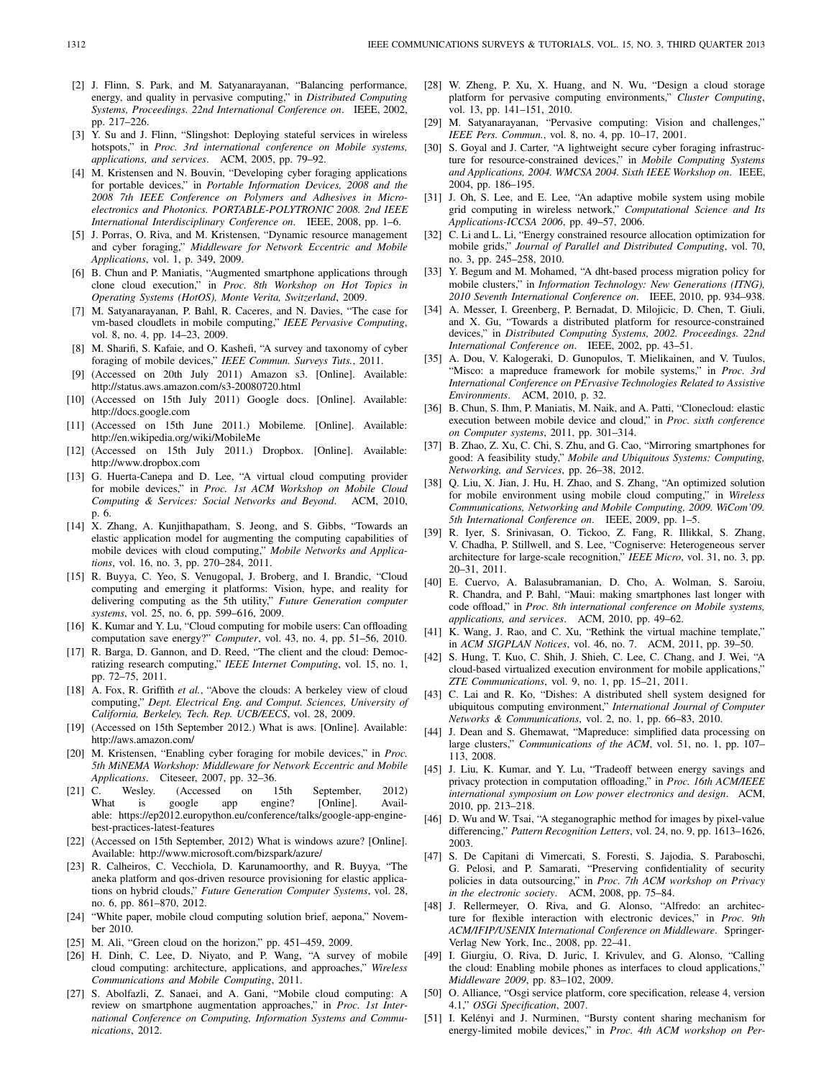- [2] J. Flinn, S. Park, and M. Satyanarayanan, "Balancing performance, energy, and quality in pervasive computing," in *Distributed Computing Systems, Proceedings. 22nd International Conference on*. IEEE, 2002, pp. 217–226.
- [3] Y. Su and J. Flinn, "Slingshot: Deploying stateful services in wireless hotspots," in *Proc. 3rd international conference on Mobile systems, applications, and services*. ACM, 2005, pp. 79–92.
- [4] M. Kristensen and N. Bouvin, "Developing cyber foraging applications for portable devices," in *Portable Information Devices, 2008 and the 2008 7th IEEE Conference on Polymers and Adhesives in Microelectronics and Photonics. PORTABLE-POLYTRONIC 2008. 2nd IEEE International Interdisciplinary Conference on*. IEEE, 2008, pp. 1–6.
- [5] J. Porras, O. Riva, and M. Kristensen, "Dynamic resource management and cyber foraging," *Middleware for Network Eccentric and Mobile Applications*, vol. 1, p. 349, 2009.
- [6] B. Chun and P. Maniatis, "Augmented smartphone applications through clone cloud execution," in *Proc. 8th Workshop on Hot Topics in Operating Systems (HotOS), Monte Verita, Switzerland*, 2009.
- [7] M. Satyanarayanan, P. Bahl, R. Caceres, and N. Davies, "The case for vm-based cloudlets in mobile computing," *IEEE Pervasive Computing*, vol. 8, no. 4, pp. 14–23, 2009.
- [8] M. Sharifi, S. Kafaie, and O. Kashefi, "A survey and taxonomy of cyber foraging of mobile devices," *IEEE Commun. Surveys Tuts.*, 2011.
- [9] (Accessed on 20th July 2011) Amazon s3. [Online]. Available: http://status.aws.amazon.com/s3-20080720.html
- [10] (Accessed on 15th July 2011) Google docs. [Online]. Available: http://docs.google.com
- [11] (Accessed on 15th June 2011.) Mobileme. [Online]. Available: http://en.wikipedia.org/wiki/MobileMe
- [12] (Accessed on 15th July 2011.) Dropbox. [Online]. Available: http://www.dropbox.com
- [13] G. Huerta-Canepa and D. Lee, "A virtual cloud computing provider for mobile devices," in *Proc. 1st ACM Workshop on Mobile Cloud Computing & Services: Social Networks and Beyond*. ACM, 2010, p. 6.
- [14] X. Zhang, A. Kunjithapatham, S. Jeong, and S. Gibbs, "Towards an elastic application model for augmenting the computing capabilities of mobile devices with cloud computing," *Mobile Networks and Applications*, vol. 16, no. 3, pp. 270–284, 2011.
- [15] R. Buyya, C. Yeo, S. Venugopal, J. Broberg, and I. Brandic, "Cloud computing and emerging it platforms: Vision, hype, and reality for delivering computing as the 5th utility," *Future Generation computer systems*, vol. 25, no. 6, pp. 599–616, 2009.
- [16] K. Kumar and Y. Lu, "Cloud computing for mobile users: Can offloading computation save energy?" *Computer*, vol. 43, no. 4, pp. 51–56, 2010.
- [17] R. Barga, D. Gannon, and D. Reed, "The client and the cloud: Democratizing research computing," *IEEE Internet Computing*, vol. 15, no. 1, pp. 72–75, 2011.
- [18] A. Fox, R. Griffith et al., "Above the clouds: A berkeley view of cloud computing," *Dept. Electrical Eng. and Comput. Sciences, University of California, Berkeley, Tech. Rep. UCB/EECS*, vol. 28, 2009.
- [19] (Accessed on 15th September 2012.) What is aws. [Online]. Available: http://aws.amazon.com/
- [20] M. Kristensen, "Enabling cyber foraging for mobile devices," in *Proc. 5th MiNEMA Workshop: Middleware for Network Eccentric and Mobile Applications*. Citeseer, 2007, pp. 32–36.
- [21] C. Wesley. (Accessed on 15th September, 2012) What is google app engine? [Online]. Available: https://ep2012.europython.eu/conference/talks/google-app-enginebest-practices-latest-features
- [22] (Accessed on 15th September, 2012) What is windows azure? [Online]. Available: http://www.microsoft.com/bizspark/azure/
- [23] R. Calheiros, C. Vecchiola, D. Karunamoorthy, and R. Buyya, "The aneka platform and qos-driven resource provisioning for elastic applications on hybrid clouds," *Future Generation Computer Systems*, vol. 28, no. 6, pp. 861–870, 2012.
- [24] "White paper, mobile cloud computing solution brief, aepona," November 2010.
- [25] M. Ali, "Green cloud on the horizon," pp. 451-459, 2009.
- [26] H. Dinh, C. Lee, D. Niyato, and P. Wang, "A survey of mobile cloud computing: architecture, applications, and approaches," *Wireless Communications and Mobile Computing*, 2011.
- [27] S. Abolfazli, Z. Sanaei, and A. Gani, "Mobile cloud computing: A review on smartphone augmentation approaches," in *Proc. 1st International Conference on Computing, Information Systems and Communications*, 2012.
- [28] W. Zheng, P. Xu, X. Huang, and N. Wu, "Design a cloud storage platform for pervasive computing environments," *Cluster Computing*, vol. 13, pp. 141–151, 2010.
- [29] M. Satyanarayanan, "Pervasive computing: Vision and challenges," *IEEE Pers. Commun.*, vol. 8, no. 4, pp. 10–17, 2001.
- [30] S. Goyal and J. Carter, "A lightweight secure cyber foraging infrastructure for resource-constrained devices," in *Mobile Computing Systems and Applications, 2004. WMCSA 2004. Sixth IEEE Workshop on*. IEEE, 2004, pp. 186–195.
- [31] J. Oh, S. Lee, and E. Lee, "An adaptive mobile system using mobile grid computing in wireless network," *Computational Science and Its Applications-ICCSA 2006*, pp. 49–57, 2006.
- [32] C. Li and L. Li, "Energy constrained resource allocation optimization for mobile grids," *Journal of Parallel and Distributed Computing*, vol. 70, no. 3, pp. 245–258, 2010.
- [33] Y. Begum and M. Mohamed, "A dht-based process migration policy for mobile clusters," in *Information Technology: New Generations (ITNG), 2010 Seventh International Conference on*. IEEE, 2010, pp. 934–938.
- [34] A. Messer, I. Greenberg, P. Bernadat, D. Milojicic, D. Chen, T. Giuli, and X. Gu, "Towards a distributed platform for resource-constrained devices," in *Distributed Computing Systems, 2002. Proceedings. 22nd International Conference on*. IEEE, 2002, pp. 43–51.
- [35] A. Dou, V. Kalogeraki, D. Gunopulos, T. Mielikainen, and V. Tuulos, "Misco: a mapreduce framework for mobile systems," in *Proc. 3rd International Conference on PErvasive Technologies Related to Assistive Environments*. ACM, 2010, p. 32.
- [36] B. Chun, S. Ihm, P. Maniatis, M. Naik, and A. Patti, "Clonecloud: elastic execution between mobile device and cloud," in *Proc. sixth conference on Computer systems*, 2011, pp. 301–314.
- [37] B. Zhao, Z. Xu, C. Chi, S. Zhu, and G. Cao, "Mirroring smartphones for good: A feasibility study," *Mobile and Ubiquitous Systems: Computing, Networking, and Services*, pp. 26–38, 2012.
- [38] Q. Liu, X. Jian, J. Hu, H. Zhao, and S. Zhang, "An optimized solution for mobile environment using mobile cloud computing," in *Wireless Communications, Networking and Mobile Computing, 2009. WiCom'09. 5th International Conference on*. IEEE, 2009, pp. 1–5.
- [39] R. Iyer, S. Srinivasan, O. Tickoo, Z. Fang, R. Illikkal, S. Zhang, V. Chadha, P. Stillwell, and S. Lee, "Cogniserve: Heterogeneous server architecture for large-scale recognition," *IEEE Micro*, vol. 31, no. 3, pp. 20–31, 2011.
- [40] E. Cuervo, A. Balasubramanian, D. Cho, A. Wolman, S. Saroiu, R. Chandra, and P. Bahl, "Maui: making smartphones last longer with code offload," in *Proc. 8th international conference on Mobile systems, applications, and services*. ACM, 2010, pp. 49–62.
- [41] K. Wang, J. Rao, and C. Xu, "Rethink the virtual machine template," in *ACM SIGPLAN Notices*, vol. 46, no. 7. ACM, 2011, pp. 39–50.
- [42] S. Hung, T. Kuo, C. Shih, J. Shieh, C. Lee, C. Chang, and J. Wei, "A cloud-based virtualized execution environment for mobile applications," *ZTE Communications*, vol. 9, no. 1, pp. 15–21, 2011.
- [43] C. Lai and R. Ko, "Dishes: A distributed shell system designed for ubiquitous computing environment," *International Journal of Computer Networks & Communications*, vol. 2, no. 1, pp. 66–83, 2010.
- [44] J. Dean and S. Ghemawat, "Mapreduce: simplified data processing on large clusters," *Communications of the ACM*, vol. 51, no. 1, pp. 107– 113, 2008.
- [45] J. Liu, K. Kumar, and Y. Lu, "Tradeoff between energy savings and privacy protection in computation offloading," in *Proc. 16th ACM/IEEE international symposium on Low power electronics and design*. ACM, 2010, pp. 213–218.
- [46] D. Wu and W. Tsai, "A steganographic method for images by pixel-value differencing," *Pattern Recognition Letters*, vol. 24, no. 9, pp. 1613–1626, 2003.
- [47] S. De Capitani di Vimercati, S. Foresti, S. Jajodia, S. Paraboschi, G. Pelosi, and P. Samarati, "Preserving confidentiality of security policies in data outsourcing," in *Proc. 7th ACM workshop on Privacy in the electronic society*. ACM, 2008, pp. 75–84.
- [48] J. Rellermeyer, O. Riva, and G. Alonso, "Alfredo: an architecture for flexible interaction with electronic devices," in *Proc. 9th ACM/IFIP/USENIX International Conference on Middleware*. Springer-Verlag New York, Inc., 2008, pp. 22–41.
- [49] I. Giurgiu, O. Riva, D. Juric, I. Krivulev, and G. Alonso, "Calling the cloud: Enabling mobile phones as interfaces to cloud applications,' *Middleware 2009*, pp. 83–102, 2009.
- [50] O. Alliance, "Osgi service platform, core specification, release 4, version 4.1," *OSGi Specification*, 2007.
- [51] I. Kelényi and J. Nurminen, "Bursty content sharing mechanism for energy-limited mobile devices," in *Proc. 4th ACM workshop on Per-*